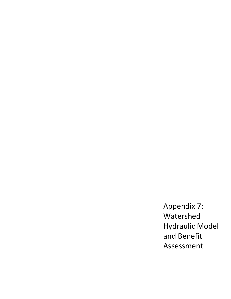Appendix 7: Watershed Hydraulic Model and Benefit Assessment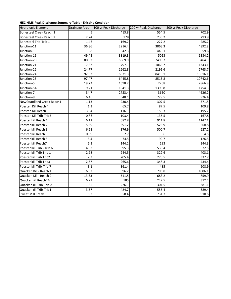## **HEC-HMS Peak Discharge Summary Table - Existing Condition**

| <b>Hydrologic Element</b>      | Drainage Area | 100 yr Peak Discharge | 200 yr Peak Discharge | 500 yr Peak Discharge |
|--------------------------------|---------------|-----------------------|-----------------------|-----------------------|
| <b>Bonesteel Creek Reach 1</b> | 5             | 413.8                 | 554.5                 | 702.9                 |
| <b>Bonesteel Creek Reach 2</b> | 2.24          | 178                   | 235.2                 | 293.9                 |
| <b>Bonesteel Trib-Trib 1</b>   | 1.46          | 169.2                 | 227.2                 | 285.2                 |
| Junction-11                    | 36.86         | 2916.4                | 3863.3                | 4892.8                |
| Junction-15                    | 3.8           | 342.3                 | 445.1                 | 559.6                 |
| Junction-19                    | 49.48         | 3819.3                | 5053                  | 6384.2                |
| Junction-20                    | 80.57         | 5669.9                | 7495.7                | 9464.9                |
| Junction-21                    | 7.87          | 797.1                 | 1065.7                | 1343.1                |
| Junction-22                    | 24.77         | 1662.8                | 2191.6                | 2763.7                |
| Junction-24                    | 92.07         | 6371.3                | 8416.1                | 10616.1               |
| Junction-25                    | 97.47         | 6445.8                | 8515.8                | 10742.6               |
| Junction-5                     | 19.72         | 1698.2                | 2268                  | 2866.8                |
| Junction-5A                    | 9.21          | 1041.3                | 1396.8                | 1754.5                |
| Junction-7                     | 34.7          | 2753.4                | 3650                  | 4626.2                |
| Junction-9                     | 6.46          | 548.1                 | 729.5                 | 926.4                 |
| Newfoundland Creek Reach1      | 1.13          | 230.4                 | 307.5                 | 371.5                 |
| Poesten Kill Reach 4           | 1.3           | 65.7                  | 87.5                  | 109.8                 |
| Poesten Kill Reach 5           | 3.54          | 116.1                 | 155.3                 | 195.7                 |
| Poesten Kill Trib-Trib5        | 0.86          | 103.4                 | 135.5                 | 167.8                 |
| Poestenkill Reach 1            | 6.11          | 682.8                 | 911.8                 | 1147.1                |
| Poestenkill Reach 2            | 5.59          | 391.2                 | 526.9                 | 668.8                 |
| Poestenkill Reach 3            | 6.28          | 376.9                 | 500.7                 | 627.2                 |
| Poestenkill Reach 6            | 0.09          | 2.7                   | 3.6                   | 4.5                   |
| Poestenkill Reach 8            | 5.4           | 74.5                  | 99.7                  | 126.5                 |
| Poestenkill Reach7             | 6.3           | 144.2                 | 193                   | 244.3                 |
| Poestenkill Trib - Trib 6      | 4.92          | 395.3                 | 530.4                 | 672.5                 |
| Poestenkill Trib Trib 1        | 2.98          | 244.5                 | 322.6                 | 403.1                 |
| Poestenkill Trib Trib2         | 2.3           | 205.4                 | 270.5                 | 337.7                 |
| Poestenkill Trib Trib3         | 2.67          | 265.6                 | 348.3                 | 434.4                 |
| Poestenkill Trib-Trib 7        | 3.1           | 361.4                 | 485                   | 608.9                 |
| Quacken Kill - Reach 1         | 6.02          | 596.2                 | 796.8                 | 1006.1                |
| Quacken Kill - Reach 2         | 13.33         | 511.5                 | 683.2                 | 859.9                 |
| Quackenkill Reach2A            | 6.23          | 185                   | 247.5                 | 312.4                 |
| Quackenkill Trib-Trib A        | 1.85          | 226.1                 | 304.5                 | 381.1                 |
| Quackenkill Trib-Trib1         | 3.57          | 424.7                 | 555.4                 | 689.4                 |
| <b>Sweet Mill Creek</b>        | 5.2           | 558.4                 | 731.7                 | 910.6                 |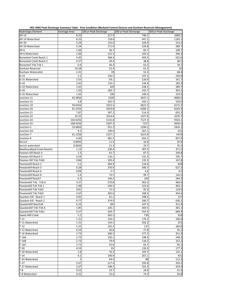|                           |                |                       | HEC-HMS Peak Discharge Summary Table - Post Condition (Wetland Control Devices and Dunham Reservoir Management) |                       |
|---------------------------|----------------|-----------------------|-----------------------------------------------------------------------------------------------------------------|-----------------------|
| <b>Hydrologic Element</b> | Drainage Area  | 100 yr Peak Discharge | 200 yr Peak Discharge                                                                                           | 500 yr Peak Discharge |
| AP-14                     | 8.33           | 317.9                 | 740.1                                                                                                           | 1089.3                |
| AP-14 Watershed           | 8.33           | 718.6                 | 947.1                                                                                                           | 1183.1                |
| AP-29                     | 5.24           | 132.6                 | 169.9                                                                                                           | 214.2                 |
| AP-29 Watershed           | 5.24           | 171.9                 | 229.8                                                                                                           | 289.7                 |
| $AP-6$                    | 1.06           | 56.7                  | 82.7                                                                                                            | 109.7                 |
| AP-6 Watershed            | 1.06           | 122.3                 | 164.3                                                                                                           | 206.3                 |
| Bonesteel Creek Reach 1   | 4.45           | 368.3                 | 493.5                                                                                                           | 625.6                 |
| Bonesteel Creek Reach 2   | 0.37           | 29.4                  | 38.8                                                                                                            | 48.5                  |
| Bonesteel Trib-Trib 1     | 0.4            | 46.3                  | 62.2                                                                                                            | 78.1                  |
| Dunham Reservoir          | 10.28          | 52.4                  | 61.5                                                                                                            | 92                    |
| Dunham Watersehd          | 2.41           | 39                    | 53.3                                                                                                            | 68.4                  |
| $G-31$                    | 5.2            | 150.5                 | 197.2                                                                                                           | 250.8                 |
| G-31 Watershed            | 2.55           | 93.1                  | 126.9                                                                                                           | 161.7                 |
| $G-32$                    | 2.65           | 110.2                 | 144.4                                                                                                           | 183.3                 |
| G-32 Watershed            | 2.65           | 169                   | 228.2                                                                                                           | 289.7                 |
| $G-35$                    | 1.93           | 183.7                 | 242.7                                                                                                           | 303.2                 |
| G-35 Watershed            | 1.93           | 190                   | 249.3                                                                                                           | 310.9                 |
| Junction-11               | 43.2856        | 2320                  | 3437.1                                                                                                          | 4685.6                |
| Junction-15               | 3.8            | 342.3                 | 445.1                                                                                                           | 559.6                 |
| Junction-19               | 59.6556        | 3222.5                | 4621.5                                                                                                          | 6172.3                |
| Junction-20               | 91.5256        | 4424.8                | 6200.1                                                                                                          | 8165.9                |
| Junction-21               | 7.87           | 397.2                 | 514.3                                                                                                           | 655.2                 |
| Junction-22               | 25.55          | 1014.6                | 1327.6                                                                                                          | 1676.7                |
| Junction-24               | 103.0256       | 5132.8                | 7127.3                                                                                                          | 9324.1                |
| Junction-25               | 108.4256       | 5207.3                | 7227                                                                                                            | 9450.5                |
| Junction-5                | 19.6856        | 951.3                 | 1290.2                                                                                                          | 1816.1                |
| Junction-5A               | 9.2            | 190.9                 | 267.1                                                                                                           | 431                   |
| Junction-7                | 41.1256        | 2157.1                | 3223.9                                                                                                          | 4419                  |
| Junction-9                | 6.46           | 481.5                 | 654.1                                                                                                           | 837.9                 |
| Kersch                    | 0.0656         | 11.4                  | 16.6                                                                                                            | 20.9                  |
| kersch watershed          | 0.0656         | 21.3                  | 29.7                                                                                                            | 35.5                  |
| Newfoundland Creek Reach1 | 1.13           | 230.4                 | 307.5                                                                                                           | 371.5                 |
| Poesten Kill Reach 4      | 1.3            | 65.7                  | 87.5                                                                                                            | 109.8                 |
| Poesten Kill Reach 5      | 3.54           | 116.1                 | 155.3                                                                                                           | 195.7                 |
| Poesten Kill Trib-Trib5   | 0.86           | 103.4                 | 135.5                                                                                                           | 167.8                 |
| Poestenkill Reach 2       | 5.5            | 384.9                 | 518.4                                                                                                           | 658                   |
| Poestenkill Reach 3       | 6.28           | 376.9                 | 500.7                                                                                                           | 627.2                 |
| Poestenkill Reach 6       | 0.09           | 2.7                   | 3.6                                                                                                             | 4.5                   |
| Poestenkill Reach 8       | 5.4            | 74.5                  | 99.7                                                                                                            | 126.5                 |
| Poestenkill Reach7        | 6.3            | 144.2                 | 193                                                                                                             | 244.3                 |
| Poestenkill Trib - Trib 6 | 3.37           | 270.8                 | 363.3                                                                                                           | 460.6                 |
| Poestenkill Trib Trib 1   | 2.98           | 244.5                 | 322.6                                                                                                           | 403.1                 |
| Poestenkill Trib Trib2    | 0.81           | 72.3                  | 95.3                                                                                                            | 118.9                 |
| Poestenkill Trib Trib3    | 2.67           | 265.6                 | 348.3                                                                                                           | 434.4                 |
| Quacken Kill - Reach 1    | 0.82           | 81.2                  | 108.5                                                                                                           | 137                   |
| Quacken Kill - Reach 2    | 9.77           | 374.9                 | 500.7                                                                                                           | 630.2                 |
| Quackenkill Reach2A       | 6.23           | 185                   | 247.5                                                                                                           | 312.4                 |
| Quackenkill Trib-Trib A   | 1.85           | 226.1                 | 304.5                                                                                                           | 381.1                 |
| Quackenkill Trib-Trib1    | 3.57           | 424.7                 | 555.4                                                                                                           | 689.4                 |
| <b>Sweet Mill Creek</b>   | 5.2            | 565.5                 | 739                                                                                                             | 918                   |
| $T-11$                    | 1.31           | 134.3                 | 176.2                                                                                                           | 240.6                 |
| T-11 Watershed            | 1.31           | 154.5                 | 202.2                                                                                                           | 251                   |
| $T-12$                    | 1.55           | 101.4                 | 137                                                                                                             | 260.8                 |
| T-12 Watershed            | 0.24           | 20.8                  | 27.8                                                                                                            | 35.2                  |
| T-16 Watershed            | 2.73           | 206.3                 | 277.3                                                                                                           | 351.9                 |
| $T-16A$                   | 2.73           | 156.1                 | 198.3                                                                                                           | 248.3                 |
| $T-16B$                   | 2.73           | 79.9                  | 118.2                                                                                                           | 152.2                 |
| $T-16C$                   | 2.73           | 35.6                  | 64.7                                                                                                            | 95.2                  |
| $T-20$                    | 4.53           | 81                    | 126.5                                                                                                           | 177.3                 |
| T-20 Watershed            | 1.8            | 76.3                  | 103.7                                                                                                           | 132.1                 |
| $T-24$                    | 9.2            | 190.9                 | 267.1                                                                                                           | 431                   |
| T-24 Watershed            | $\overline{2}$ | 64.5                  | 88                                                                                                              | 112.3                 |
| $T-27$                    | 2.67           | 217.4                 | 295.8                                                                                                           | 359.2                 |
| T-27 Watershed            | 2.67           | 248.2                 | 331.4                                                                                                           | 419.4                 |
| T-8                       | 0.55           | 19.7                  | 29.9                                                                                                            | 41.4                  |
| T-8 Watershed             | 0.55           | 55.6                  | 74.3                                                                                                            | 93.8                  |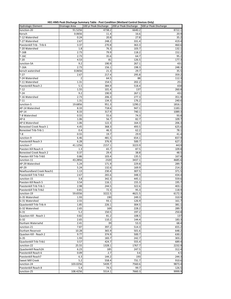| <b>Hydrologic Element</b>           | Drainage Area   | 100 yr Peak Discharge | HEC-HMS Peak Discharge Summary Table - Post Condition (Wetland Control Devices Only)<br>200 yr Peak Discharge | 500 yr Peak Discharge                                                                                                                                                         |
|-------------------------------------|-----------------|-----------------------|---------------------------------------------------------------------------------------------------------------|-------------------------------------------------------------------------------------------------------------------------------------------------------------------------------|
| Junction-20                         | 91.5256         | 4738.2                | 6640.2                                                                                                        | 8722.1                                                                                                                                                                        |
|                                     |                 |                       |                                                                                                               |                                                                                                                                                                               |
| Kersch                              | 0.0656          | 11.4                  | 16.6                                                                                                          | 20.9                                                                                                                                                                          |
| T-12 Watershed                      | 0.24            | 20.8                  | 27.8                                                                                                          | 35.2                                                                                                                                                                          |
| T-27 Watershed                      | 2.67            | 248.2                 | 331.4                                                                                                         | 419.4                                                                                                                                                                         |
| Poestenkill Trib - Trib 6           | 3.37            | 270.8                 | 363.3                                                                                                         | 460.6                                                                                                                                                                         |
| T-20 Watershed                      | 1.8             | 76.3                  | 103.7                                                                                                         | 132.1                                                                                                                                                                         |
| T-16B                               | 2.73            | 79.9                  | 118.2                                                                                                         | 152.2                                                                                                                                                                         |
| $T-16C$                             | 2.73            | 35.6                  | 64.7                                                                                                          | 95.2                                                                                                                                                                          |
| $T-20$                              | 4.53            | 81                    | 126.5                                                                                                         | 177.3                                                                                                                                                                         |
| Junction-5A                         | 9.2             | 190.9                 | 267.1                                                                                                         | 431                                                                                                                                                                           |
| $T-16A$                             | 2.73            | 156.1                 | 198.3                                                                                                         | 248.3                                                                                                                                                                         |
| kersch watershed                    | 0.0656          | 21.3                  | 29.7                                                                                                          | 35.5                                                                                                                                                                          |
| $T-27$                              | 2.67            | 217.4                 | 295.8                                                                                                         | 359.2                                                                                                                                                                         |
| T-24 Watershed                      | $\overline{2}$  | 64.5                  | 88                                                                                                            | 112.3                                                                                                                                                                         |
| T-11 Watershed                      | 1.31            | 154.5                 | 202.2                                                                                                         | 251                                                                                                                                                                           |
| Poestenkill Reach 2                 | 5.5             | 384.9                 | 518.4                                                                                                         | 658                                                                                                                                                                           |
| $T-12$                              | 1.55            | 101.4                 | 137                                                                                                           | 260.8                                                                                                                                                                         |
| $T-24$                              | 9.2             | 190.9                 | 267.1                                                                                                         | 431                                                                                                                                                                           |
| T-16 Watershed                      | 2.73            | 206.3                 | 277.3                                                                                                         | 351.9                                                                                                                                                                         |
| $T-11$                              | 1.31            | 134.3                 | 176.2                                                                                                         | 240.6                                                                                                                                                                         |
| Junction-5                          | 19.6856         | 951.3                 | 1290.2                                                                                                        | 1816.1                                                                                                                                                                        |
| AP-14 Watershed                     | 8.33            | 718.6                 | 947.1                                                                                                         | 1183.1                                                                                                                                                                        |
| AP-14                               | 8.33            | 317.9                 | 740.1                                                                                                         | 1089.3                                                                                                                                                                        |
| T-8 Watershed                       | 0.55            | 55.6                  | 74.3                                                                                                          | 93.8                                                                                                                                                                          |
| $AP-6$                              | 1.06            | 56.7                  | 82.7                                                                                                          | 109.7                                                                                                                                                                         |
| AP-6 Watershed                      | 1.06            | 122.3                 | 164.3                                                                                                         | 206.3                                                                                                                                                                         |
| Bonesteel Creek Reach 1             | 4.45            | 368.3                 | 493.5                                                                                                         | 625.6                                                                                                                                                                         |
| Bonesteel Trib-Trib 1               | 0.4             | 46.3                  | 62.2                                                                                                          | 78.1                                                                                                                                                                          |
| T-8                                 | 0.55            | 19.7                  | 29.9                                                                                                          | 41.4                                                                                                                                                                          |
| Junction-9                          | 6.46            | 481.5                 | 654.1                                                                                                         | 837.9                                                                                                                                                                         |
| Poestenkill Reach 3                 | 6.28            | 376.9                 | 500.7                                                                                                         | 627.2                                                                                                                                                                         |
| Junction-7                          | 41.1256         | 2157.1                | 3223.9                                                                                                        | 4419                                                                                                                                                                          |
| Poesten Kill Reach 4                | 1.3             | 65.7                  | 87.5                                                                                                          | 109.8                                                                                                                                                                         |
| <b>Bonesteel Creek Reach 2</b>      | 0.37            | 29.4                  | 38.8                                                                                                          | 48.5                                                                                                                                                                          |
| Poesten Kill Trib-Trib5             | 0.86            | 103.4                 | 135.5                                                                                                         | 167.8                                                                                                                                                                         |
|                                     |                 |                       |                                                                                                               |                                                                                                                                                                               |
| Junction-11                         | 43.2856         | 2320                  | 3437.1                                                                                                        | 4685.6                                                                                                                                                                        |
| AP-29 Watershed                     | 5.24            | 171.9                 | 229.8                                                                                                         | 289.7                                                                                                                                                                         |
| AP-29<br>Newfoundland Creek Reach1  | 5.24            | 132.6                 | 169.9                                                                                                         | 214.2                                                                                                                                                                         |
|                                     | 1.13            | 230.4                 | 307.5                                                                                                         | 371.5                                                                                                                                                                         |
| Poestenkill Trib Trib3              | 2.67<br>3.8     | 265.6                 | 348.3                                                                                                         | 434.4                                                                                                                                                                         |
| Junction-15<br>Poesten Kill Reach 5 |                 |                       |                                                                                                               |                                                                                                                                                                               |
|                                     |                 | 342.3                 | 445.1                                                                                                         |                                                                                                                                                                               |
|                                     | 3.54            | 116.1                 | 155.3                                                                                                         |                                                                                                                                                                               |
| Poestenkill Trib Trib 1             | 2.98            | 244.5                 | 322.6                                                                                                         | 559.6<br>195.7<br>403.1                                                                                                                                                       |
| Poestenkill Trib Trib2              | 0.81            | 72.3                  | 95.3                                                                                                          |                                                                                                                                                                               |
| Junction-19                         | 59.6556         | 3222.5                | 4621.5                                                                                                        |                                                                                                                                                                               |
| G-35 Watershed                      | 1.93            | 190                   | 249.3                                                                                                         |                                                                                                                                                                               |
| G-31 Watershed                      | 2.55            | 93.1                  | 126.9                                                                                                         |                                                                                                                                                                               |
| Quackenkill Trib-Trib A             | 1.85            | 226.1                 | 304.5                                                                                                         |                                                                                                                                                                               |
| G-32 Watershed                      | 2.65            | 169                   | 228.2                                                                                                         |                                                                                                                                                                               |
| $G-31$                              | 5.2             | 150.5                 | 197.2                                                                                                         |                                                                                                                                                                               |
| Quacken Kill - Reach 1              | 0.82            | 81.2                  | 108.5                                                                                                         |                                                                                                                                                                               |
| $G-32$                              | 2.65            | 110.2                 | 144.4                                                                                                         |                                                                                                                                                                               |
| Dunham Watersehd                    | 2.41            | 39                    | 53.3                                                                                                          |                                                                                                                                                                               |
| Junction-21                         | 7.87            | 397.2                 | 514.3                                                                                                         |                                                                                                                                                                               |
| Dunham Reservoir                    | 10.28           | 365.9                 | 501.6                                                                                                         |                                                                                                                                                                               |
| Quacken Kill - Reach 2              | 9.77            | 374.9                 | 500.7                                                                                                         |                                                                                                                                                                               |
| $G-35$                              | 1.93            | 183.7                 | 242.7                                                                                                         |                                                                                                                                                                               |
| Quackenkill Trib-Trib1              | 3.57            | 424.7                 | 555.4                                                                                                         |                                                                                                                                                                               |
| Junction-22                         | 25.55           | 1328.1                | 1767.7                                                                                                        |                                                                                                                                                                               |
| Quackenkill Reach2A                 | 6.23            | 185                   | 247.5                                                                                                         |                                                                                                                                                                               |
| Poestenkill Reach 6                 | 0.09            | 2.7                   |                                                                                                               |                                                                                                                                                                               |
| Poestenkill Reach7                  |                 |                       | 3.6                                                                                                           |                                                                                                                                                                               |
|                                     | 6.3<br>5.2      | 144.2                 | 193                                                                                                           | 118.9<br>6172.3<br>310.9<br>161.7<br>381.1<br>289.7<br>250.8<br>137<br>183.3<br>68.4<br>655.2<br>648.2<br>630.2<br>303.2<br>689.4<br>2232.9<br>312.4<br>4.5<br>244.3<br>910.6 |
| <b>Sweet Mill Creek</b>             |                 | 558.4                 | 731.7                                                                                                         |                                                                                                                                                                               |
| Junction-24<br>Poestenkill Reach 8  | 103.0256<br>5.4 | 5439.7<br>74.5        | 7560.6<br>99.7                                                                                                | 9873.4<br>126.5                                                                                                                                                               |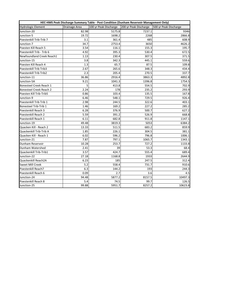| HEC-HMS Peak Discharge Summary Table - Post Condition (Dunham Reservoir Management Only) |               |        |                                                                   |         |  |  |  |  |  |  |  |  |
|------------------------------------------------------------------------------------------|---------------|--------|-------------------------------------------------------------------|---------|--|--|--|--|--|--|--|--|
| <b>Hydrologic Element</b>                                                                | Drainage Area |        | 100 yr Peak Discharge 200 yr Peak Discharge 500 yr Peak Discharge |         |  |  |  |  |  |  |  |  |
| Junction-20                                                                              | 82.98         | 5175.8 | 7237.1                                                            | 9346    |  |  |  |  |  |  |  |  |
| Junction-5                                                                               | 19.72         | 1698.2 | 2268                                                              | 2866.8  |  |  |  |  |  |  |  |  |
| Poestenkill Trib-Trib 7                                                                  | 3.1           | 361.4  | 485                                                               | 608.9   |  |  |  |  |  |  |  |  |
| Junction-7                                                                               | 34.7          | 2753.4 | 3650                                                              | 4626.2  |  |  |  |  |  |  |  |  |
| Poesten Kill Reach 5                                                                     | 3.54          | 116.1  | 155.3                                                             | 195.7   |  |  |  |  |  |  |  |  |
| Poestenkill Trib - Trib 6                                                                | 4.92          | 395.3  | 530.4                                                             | 672.5   |  |  |  |  |  |  |  |  |
| Newfoundland Creek Reach1                                                                | 1.13          | 230.4  | 307.5                                                             | 371.5   |  |  |  |  |  |  |  |  |
| Junction-15                                                                              | 3.8           | 342.3  | 445.1                                                             | 559.6   |  |  |  |  |  |  |  |  |
| Poesten Kill Reach 4                                                                     | 1.3           | 65.7   | 87.5                                                              | 109.8   |  |  |  |  |  |  |  |  |
| Poestenkill Trib Trib3                                                                   | 2.67          | 265.6  | 348.3                                                             | 434.4   |  |  |  |  |  |  |  |  |
| Poestenkill Trib Trib2                                                                   | 2.3           | 205.4  | 270.5                                                             | 337.7   |  |  |  |  |  |  |  |  |
| Junction-11                                                                              | 36.86         | 2916.4 | 3863.3                                                            | 4892.8  |  |  |  |  |  |  |  |  |
| Junction-5A                                                                              | 9.21          | 1041.3 | 1396.8                                                            | 1754.5  |  |  |  |  |  |  |  |  |
| Bonesteel Creek Reach 1                                                                  | 5             | 413.8  | 554.5                                                             | 702.9   |  |  |  |  |  |  |  |  |
| Bonesteel Creek Reach 2                                                                  | 2.24          | 178    | 235.2                                                             | 293.9   |  |  |  |  |  |  |  |  |
| Poesten Kill Trib-Trib5                                                                  | 0.86          | 103.4  | 135.5                                                             | 167.8   |  |  |  |  |  |  |  |  |
| Junction-9                                                                               | 6.46          | 548.1  | 729.5                                                             | 926.4   |  |  |  |  |  |  |  |  |
| Poestenkill Trib Trib 1                                                                  | 2.98          | 244.5  | 322.6                                                             | 403.1   |  |  |  |  |  |  |  |  |
| <b>Bonesteel Trib-Trib 1</b>                                                             | 1.46          | 169.2  | 227.2                                                             | 285.2   |  |  |  |  |  |  |  |  |
| Poestenkill Reach 3                                                                      | 6.28          | 376.9  | 500.7                                                             | 627.2   |  |  |  |  |  |  |  |  |
| Poestenkill Reach 2                                                                      | 5.59          | 391.2  | 526.9                                                             | 668.8   |  |  |  |  |  |  |  |  |
| Poestenkill Reach 1                                                                      | 6.11          | 682.8  | 911.8                                                             | 1147.1  |  |  |  |  |  |  |  |  |
| Junction-19                                                                              | 49.48         | 3819.3 | 5053                                                              | 6384.2  |  |  |  |  |  |  |  |  |
| Quacken Kill - Reach 2                                                                   | 13.33         | 511.5  | 683.2                                                             | 859.9   |  |  |  |  |  |  |  |  |
| Quackenkill Trib-Trib A                                                                  | 1.85          | 226.1  | 304.5                                                             | 381.1   |  |  |  |  |  |  |  |  |
| Quacken Kill - Reach 1                                                                   | 6.02          | 596.2  | 796.8                                                             | 1006.1  |  |  |  |  |  |  |  |  |
| Junction-21                                                                              | 7.87          | 797.1  | 1065.7                                                            | 1343.1  |  |  |  |  |  |  |  |  |
| Dunham Reservoir                                                                         | 10.28         | 253.7  | 727.2                                                             | 1133.8  |  |  |  |  |  |  |  |  |
| Dunham Watershed                                                                         | 2.41          | 39     | 53.3                                                              | 68.4    |  |  |  |  |  |  |  |  |
| Quackenkill Trib-Trib1                                                                   | 3.57          | 424.7  | 555.4                                                             | 689.4   |  |  |  |  |  |  |  |  |
| Junction-22                                                                              | 27.18         | 1168.8 | 1933                                                              | 2644.9  |  |  |  |  |  |  |  |  |
| Quackenkill Reach2A                                                                      | 6.23          | 185    | 247.5                                                             | 312.4   |  |  |  |  |  |  |  |  |
| <b>Sweet Mill Creek</b>                                                                  | 5.2           | 558.4  | 731.7                                                             | 910.6   |  |  |  |  |  |  |  |  |
| Poestenkill Reach7                                                                       | 6.3           | 144.2  | 193                                                               | 244.3   |  |  |  |  |  |  |  |  |
| Poestenkill Reach 6                                                                      | 0.09          | 2.7    | 3.6                                                               | 4.5     |  |  |  |  |  |  |  |  |
| Junction-24                                                                              | 94.48         | 5877.2 | 8157.5                                                            | 10497.3 |  |  |  |  |  |  |  |  |
| Poestenkill Reach 8                                                                      | 5.4           | 74.5   | 99.7                                                              | 126.5   |  |  |  |  |  |  |  |  |
| Junction-25                                                                              | 99.88         | 5951.7 | 8257.2                                                            | 10623.8 |  |  |  |  |  |  |  |  |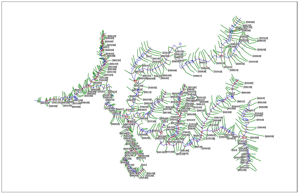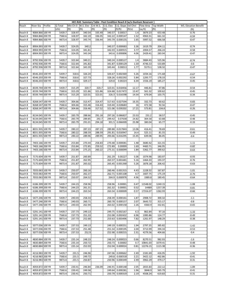| HEC-RAS Summary Table - Post Condition Reach 8 (w/o Dunham Reservoir) |                                    |         |                  |                   |                               |                   |                   |                      |                |                      |                    |  |                       |
|-----------------------------------------------------------------------|------------------------------------|---------|------------------|-------------------|-------------------------------|-------------------|-------------------|----------------------|----------------|----------------------|--------------------|--|-----------------------|
| Reach                                                                 | River Sta                          | Profile | Q Total          |                   | Min Ch El W.S. Elev Crit W.S. |                   | E.G. Elev         | E.G. Slope Vel Chnl  |                | Flow Area            | Top Width          |  | WS. Elevation Benefit |
|                                                                       |                                    |         | (cfs)            | (f <sub>t</sub> ) | (f <sub>t</sub> )             | (f <sub>t</sub> ) | (f <sub>t</sub> ) | (ft/ft)              | (ft/s)         | (sq ft)              | (f <sub>t</sub> )  |  | (f <sub>t</sub> )     |
| Reach 8                                                               | 9084.866 100 YR                    |         | 5439.7           | 328.97            | 340.54                        | 335.49            | 340.57            | 0.00017              | 1.4            | 3879.23              | 653.48             |  | $-0.76$               |
| Reach 8                                                               | 9084.866 200 YR                    |         | 7560.6           | 328.97            | 342.19                        | 336.05            | 342.22            | 0.000147             | 1.52           | 4963.31              | 661.32             |  | $-0.59$               |
| Reach 8                                                               | 9084.866 500 YR                    |         | 9873.4           | 328.97            | 343.74                        | 336.44            | 343.79            | 0.000135             | 1.65           | 5997.52              | 666.58             |  | $-0.47$               |
| Reach 8                                                               | 8904.993 100 YR                    |         | 5439.7           | 324.05            | 340.2                         |                   |                   | 0.000683             |                | 1619.79              | 204.11             |  | $-0.74$               |
| Reach 8                                                               | 8904.993 200 YR                    |         | 7560.6           | 324.05            | 341.81                        |                   | 340.37<br>342.03  | 0.000915             | 3.36<br>3.77   | 2004.57              | 266.24             |  | $-0.58$               |
| Reach 8                                                               | 8904.993 500 YR                    |         | 9873.4           | 324.05            | 343.34                        |                   | 343.6             | 0.000896             | 4.06           | 2429.41              | 283.94             |  | $-0.47$               |
|                                                                       |                                    |         |                  |                   |                               |                   |                   |                      |                |                      |                    |  |                       |
| Reach 8                                                               | 8792.936 100 YR                    |         | 5439.7           | 322.64            | 340.21                        |                   | 340.24            | 0.000127             | 1.4            | 3884.43              | 525.96             |  | $-0.74$               |
| Reach 8                                                               | 8792.936 200 YR                    |         | 7560.6           | 322.64            | 341.83                        |                   | 341.87            | 0.000129             | 1.59           | 4746.53              | 533.89             |  | $-0.6$                |
| Reach 8                                                               | 8792.936 500 YR                    |         | 9873.4           | 322.64            | 343.39                        |                   | 343.44            | 0.00013              | 1.77           | 5579.1               | 538.32             |  | $-0.47$               |
|                                                                       |                                    |         |                  |                   |                               |                   |                   |                      |                |                      |                    |  |                       |
| Reach 8                                                               | 8546.203 100 YR                    |         | 5439.7           | 318.6             | 326.24                        |                   | 326.67            | 0.002369             | 5.26           | 1034.16              | 171.68             |  | $-0.67$               |
| Reach 8                                                               | 8546.203 200 YR                    |         | 7560.6           | 318.6             | 327.73                        |                   | 328.26            | 0.002292             | 5.84           | 1293.77              | 178.33             |  | $-0.54$               |
| Reach 8                                                               | 8546.203 500 YR                    |         | 9873.4           | 318.6             | 329.17                        |                   | 329.8             | 0.00223              | 6.34           | 1556.19              | 185.27             |  | $-0.45$               |
| Reach 8                                                               | 8339.744 100 YR                    |         | 5439.7           | 315.29            | 320.7                         | 320.7             | 323.01            | 0.018456             | 12.17          | 446.81               | 97.86              |  | $-0.54$               |
| Reach 8                                                               | 8339.744 200 YR                    |         | 7560.6           | 315.29            | 321.86                        | 321.86            | 324.68            | 0.017472             | 13.47          | 561.32               | 100.62             |  | $-0.45$               |
| Reach 8                                                               | 8339.744 500 YR                    |         | 9873.4           | 315.29            | 323.01                        | 323.01            | 326.3             | 0.016598             | 14.54          | 679.04               | 103.75             |  | $-0.34$               |
|                                                                       |                                    |         |                  |                   |                               |                   |                   |                      |                |                      |                    |  |                       |
| Reach 8                                                               | 8268.547 100 YR                    |         | 5439.7           | 304.66            | 313.47                        | 314.47            | 317.63            | 0.027594             | 16.35          | 332.73               | 60.62              |  | $-0.83$               |
| Reach 8                                                               | 8268.547 200 YR                    |         | 7560.6           | 304.66            | 315.46                        | 316.43            | 319.44            | 0.028683             | 16             | 472.58               | 92.56              |  | $-0.47$               |
| Reach 8                                                               | 8268.547 500 YR                    |         | 9873.4           | 304.66            | 316.46                        | 317.52            | 321.06            | 0.030202             | 17.21          | 573.81               | 104.8              |  | $-0.26$               |
|                                                                       |                                    |         |                  |                   |                               |                   |                   |                      |                |                      |                    |  |                       |
| Reach 8                                                               | 8134.045 100 YR                    |         | 5439.7           | 283.79            | 288.66                        | 291.18            | 297.26<br>299.42  | 0.086827             | 23.53          | 231.2                | 58.57              |  | $-0.45$               |
| Reach 8<br>Reach 8                                                    | 8134.045 200 YR<br>8134.045 500 YR |         | 7560.6<br>9873.4 | 283.79<br>283.79  | 289.85<br>291.01              | 292.7<br>294.18   | 301.5             | 0.07638<br>0.066009  | 24.82<br>25.98 | 304.58<br>380.04     | 63.88<br>65.77     |  | $-0.48$<br>$-0.33$    |
|                                                                       |                                    |         |                  |                   |                               |                   |                   |                      |                |                      |                    |  |                       |
| Reach 8                                                               | 8031.935 100 YR                    |         | 5439.7           | 280.22            | 287.23                        | 287.23            | 289.88            | 0.017843             | 13.06          | 416.41               | 78.69              |  | $-0.61$               |
| Reach 8                                                               | 8031.935 200 YR                    |         | 7560.6           | 280.22            | 288.59                        | 288.59            | 291.81            | 0.016947             | 14.4           | 525.11               | 81.55              |  | $-0.49$               |
| Reach 8                                                               | 8031.935 500 YR                    |         | 9873.4           | 280.22            | 289.96                        | 289.95            | 293.66            | 0.016295             | 15.45          | 639.06               | 86.05              |  | $-0.4$                |
|                                                                       |                                    |         |                  |                   |                               |                   |                   |                      |                |                      |                    |  |                       |
| Reach 8                                                               | 7403.166 100 YR                    |         | 5439.7           | 253.84            | 270.44                        | 258.83            | 270.48            | 0.000081             | 1.48           | 3680.42              | 321.55             |  | $-1.11$               |
| Reach 8                                                               | 7403.166 200 YR                    |         | 7560.6           | 253.84            | 272.85                        | 259.52            | 272.89            | 0.00009              | 1.69           | 4483.71              | 346.95             |  | $-0.82$               |
| Reach 8                                                               | 7403.166 500 YR                    |         | 9873.4           | 253.84            | 275.25                        | 260.22            | 275.31            | 0.000099             | 1.84           | 5362.77              | 390.62             |  | $-0.63$               |
| Reach 8                                                               | 7175.604 100 YR                    |         | 5439.7           | 251.87            | 260.89                        |                   | 261.29            | 0.00227              | 5.06           | 1074.98              | 183.97             |  | $-0.93$               |
| Reach 8                                                               | 7175.604 200 YR                    |         | 7560.6           | 251.87            | 262.95                        |                   | 263.37            | 0.001681             | 5.16           | 1464.33              | 193.37             |  | $-0.76$               |
| Reach 8                                                               | 7175.604 500 YR                    |         | 9873.4           | 251.87            | 265.02                        |                   | 265.45            | 0.001368             | 5.26           | 1878.18              | 206.42             |  | $-0.63$               |
|                                                                       |                                    |         |                  |                   |                               |                   |                   |                      |                |                      |                    |  |                       |
| Reach 8                                                               | 7033.063 100 YR                    |         | 5439.7           | 250.07            | 260.16                        |                   | 260.46            | 0.001315             | 4.43           | 1228.32              | 167.87             |  | $-1.01$               |
| Reach 8                                                               | 7033.063 200 YR                    |         | 7560.6           | 250.07            | 262.37                        |                   | 262.71            | 0.001108             | 4.7            | 1607.75              | 175.19             |  | $-0.79$               |
| Reach 8                                                               | 7033.063 500 YR                    |         | 9873.4           | 250.07            | 264.52                        |                   | 264.9             | 0.000976             | 4.96           | 1989.8               | 180.45             |  | $-0.64$               |
|                                                                       |                                    |         |                  |                   |                               |                   |                   |                      |                |                      |                    |  |                       |
| Reach 8<br>Reach 8                                                    | 6186.399 100 YR<br>6186.399 200 YR |         | 5439.7<br>7560.6 | 244.23<br>244.23  | 258.96<br>261.31              |                   | 258.96<br>261.32  | 0.00001<br>0.00001   | 0.47<br>0.52   | 11548.02<br>14489    | 1240.15<br>1257.39 |  | $-1.08$<br>$-0.81$    |
| Reach 8                                                               | 6186.399 500 YR                    |         | 9873.4           | 244.23            | 263.54                        |                   |                   | 263.54 0.000009      | 0.57           | 17316.07             | 1282.93            |  | $-0.66$               |
|                                                                       |                                    |         |                  |                   |                               |                   |                   |                      |                |                      |                    |  |                       |
| Reach 8                                                               | 5477.246 100 YR                    |         | 5439.7           | 240.03            | 258.33                        |                   | 258.39            | 0.000161             | 1.87           | 2908.72              | 300.32             |  | $-1.1$                |
| Reach 8                                                               | 5477.246 200 YR                    |         | 7560.6           | 240.03            | 260.71                        |                   | 260.78            | 0.000157             | 2.07           | 3643.72              | 315.17             |  | $-0.8$                |
| Reach 8                                                               | 5477.246 500 YR                    |         | 9873.4           | 240.03            | 262.94                        |                   | 263.02            | 0.000158             | 2.26           | 4360.9               | 332.81             |  | $-0.65$               |
|                                                                       |                                    |         |                  |                   |                               |                   |                   |                      |                |                      |                    |  |                       |
| Reach 8                                                               | 5291.141 100 YR                    |         | 5439.7           | 237.73            | 249.13<br>251.33              |                   | 249.75            | 0.002167<br>0.002432 | 6.3            | 862.84<br>1085.86    | 97.16              |  | $-1.33$               |
| Reach 8<br>Reach 8                                                    | 5291.141 200 YR<br>5291.141 500 YR |         | 7560.6<br>9873.4 | 237.73<br>237.73  | 252.68                        |                   | 252.08<br>253.63  | 0.003496             | 6.96<br>7.82   | 1261.97              | 114.77<br>148.29   |  | $-0.49$<br>$-0.38$    |
|                                                                       |                                    |         |                  |                   |                               |                   |                   |                      |                |                      |                    |  |                       |
| Reach 8                                                               | 5077.036 100 YR                    |         | 5439.7           | 237.53            | 249.13                        |                   | 249.19            | 0.000251             | 1.94           | 2797.35              | 385.82             |  | $-1.42$               |
| Reach 8                                                               | 5077.036 200 YR                    |         | 7560.6           | 237.53            | 251.48                        |                   | 251.54            | 0.000195             | 2.04           | 3713.99              | 394.34             |  | $-0.53$               |
| Reach 8                                                               | 5077.036 500 YR                    |         | 9873.4           | 237.53            | 252.9                         |                   | 252.98            | 0.000215             | 2.31           | 4279.56              | 404.66             |  | $-0.4$                |
|                                                                       |                                    |         |                  |                   |                               |                   |                   |                      |                |                      |                    |  |                       |
| Reach 8                                                               | 4830.884 100 YR                    |         | 5439.7           | 235.14            | 248.23                        |                   | 248.24            | 0.000023             | 0.66           | 8270.51              | 982.93             |  | $-1.6$                |
| Reach 8<br>Reach 8                                                    | 4830.884 200 YR<br>4830.884 500 YR |         | 7560.6<br>9873.4 | 235.14<br>235.14  | 250.72<br>252.03              |                   | 250.73<br>252.04  | 0.00002<br>0.000024  | 0.7<br>0.81    | 10841.03<br>12276.15 | 1079.41<br>1115.38 |  | $-0.48$               |
|                                                                       |                                    |         |                  |                   |                               |                   |                   |                      |                |                      |                    |  | $-0.36$               |
| Reach 8                                                               | 4216.983 100 YR                    |         | 5439.7           | 231.5             | 246.96                        |                   | 247.06            | 0.000662             | 2.49           | 2181.69              | 426.95             |  | $-1.92$               |
| Reach 8                                                               | 4216.983 200 YR                    |         | 7560.6           | 231.5             | 249.72                        |                   | 249.8             | 0.000318             | 2.21           | 3422.12              | 462.86             |  | $-0.41$               |
| Reach 8                                                               | 4216.983 500 YR                    |         | 9873.4           | 231.5             | 250.87                        |                   | 250.96            | 0.000349             | 2.49           | 3962.29              | 479.17             |  | $-0.31$               |
|                                                                       |                                    |         |                  |                   |                               |                   |                   |                      |                |                      |                    |  |                       |
| Reach 8                                                               | 4059.872 100 YR                    |         | 5439.7           | 230.41            | 246.84                        | 236.09            | 246.91            | 0.000148             | 2.05           | 2655.83              | 222.12             |  | $-1.89$               |
| Reach 8                                                               | 4059.872 200 YR                    |         | 7560.6           | 230.41            | 249.58                        |                   | 249.64            | 0.000281             | 1.96           | 3848.9               | 565.79             |  | $-0.41$               |
| Reach 8                                                               | 4059.872 500 YR                    |         | 9873.4           | 230.41            | 250.71                        |                   | 250.79            | 0.000319             | 2.19           | 4508.24              | 619.83             |  | $-0.31$               |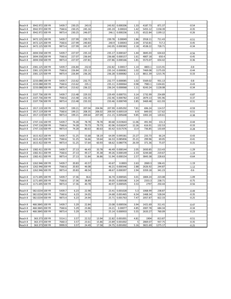| Reach 8 | 3942.972 100 YR | 5439.7 | 230.25 | 243.9  |        | 243.92 | 0.000206        | 1.33  | 4187.73 | 871.37  | $-0.54$ |
|---------|-----------------|--------|--------|--------|--------|--------|-----------------|-------|---------|---------|---------|
| Reach 8 | 3942.972 200 YR | 7560.6 | 230.25 | 245.16 |        | 245.19 | 0.00024         | 1.42  | 5455.12 | 1158.39 | $-0.35$ |
| Reach 8 | 3942.972 500 YR | 9873.4 | 230.25 | 246.07 |        | 246.1  | 0.000236        | 1.55  | 6522.84 | 1199.12 | $-0.26$ |
|         |                 |        |        |        |        |        |                 |       |         |         |         |
| Reach 8 | 3472.125 100 YR | 5439.7 | 227.99 | 239.72 |        | 239.78 | 0.00049         | 1.86  | 2918.11 | 711.43  | $-0.51$ |
| Reach 8 | 3472.125 200 YR | 7560.6 | 227.99 | 240.83 |        | 240.9  | 0.00043         | 2.04  | 3710.81 | 717.2   | $-0.45$ |
| Reach 8 | 3472.125 500 YR | 9873.4 | 227.99 | 241.97 |        | 242.05 | 0.000383        | 2.18  | 4538.22 | 728.71  | $-0.34$ |
|         |                 |        |        |        |        |        |                 |       |         |         |         |
| Reach 8 | 2694.558 100 YR | 5439.7 | 227.07 | 235.14 |        | 235.17 | 0.000167        | 1.44  | 3845.03 | 634.63  | $-0.56$ |
| Reach 8 | 2694.558 200 YR | 7560.6 | 227.07 | 236.64 |        | 236.68 | 0.000157        | 1.61  | 4807.18 | 650.4   | $-0.45$ |
| Reach 8 | 2694.558 500 YR | 9873.4 | 227.07 | 237.81 |        | 237.86 | 0.000166        | 1.81  | 5573.07 | 654.42  | $-0.36$ |
|         |                 |        |        |        |        |        |                 |       |         |         |         |
|         | 2381.125 100 YR | 5439.7 | 226.84 | 232.8  |        | 232.82 | 0.00017         | 1.14  | 4803.1  | 1115.91 | $-0.8$  |
| Reach 8 |                 |        |        | 235.13 |        | 235.14 | 0.000081        |       | 7469.08 |         | $-0.44$ |
| Reach 8 | 2381.125 200 YR | 7560.6 | 226.84 |        |        |        |                 | 1.02  | 8811.39 | 1175.03 |         |
| Reach 8 | 2381.125 500 YR | 9873.4 | 226.84 | 236.26 |        | 236.28 | 0.000082        | 1.13  |         | 1215.76 | $-0.33$ |
|         |                 |        |        |        |        |        |                 |       |         |         |         |
| Reach 8 | 2233.088 100 YR | 5439.7 | 213.62 | 232.75 |        | 232.77 | 0.000085        | 1.02  | 5569.02 | 931.13  | $-0.8$  |
| Reach 8 | 2233.088 200 YR | 7560.6 | 213.62 | 235.1  |        | 235.11 | 0.000064        | 0.98  | 7983.1  | 1104.81 | $-0.43$ |
| Reach 8 | 2233.088 500 YR | 9873.4 | 213.62 | 236.22 |        | 236.24 | 0.000068        | 1.11  | 9243.24 | 1128.08 | $-0.34$ |
|         |                 |        |        |        |        |        |                 |       |         |         |         |
| Reach 8 | 2107.736 100 YR | 5439.7 | 213.48 | 229.33 |        | 229.49 | 0.000731        | 3.14  | 1732.99 | 254.89  | $-0.87$ |
| Reach 8 | 2107.736 200 YR | 7560.6 | 213.48 | 232.35 |        | 232.46 | 0.000782        | 2.63  | 2879.13 | 591.96  | $-0.37$ |
| Reach 8 | 2107.736 500 YR | 9873.4 | 213.48 | 233.33 |        | 233.46 | 0.000749        | 2.85  | 3469.48 | 611.93  | $-0.31$ |
|         |                 |        |        |        |        |        |                 |       |         |         |         |
| Reach 8 | 1917.119 100 YR | 5439.7 | 199.21 | 207.04 | 204.96 |        | 207.99 0.005292 | 7.81  | 696.24  | 114.57  | $-0.59$ |
| Reach 8 | 1917.119 200 YR | 7560.6 | 199.21 | 208.35 | 206.02 | 209.59 | 0.005519        | 8.9   | 849.03  | 117.62  | $-0.51$ |
| Reach 8 | 1917.119 500 YR | 9873.4 | 199.21 | 209.64 | 207.09 | 211.15 | 0.005648        | 9.85  | 1002.24 | 120.61  | $-0.38$ |
|         |                 |        |        |        |        |        |                 |       |         |         |         |
| Reach 8 | 1747.116 100 YR | 5439.7 | 74.28  | 78.78  | 78.78  | 80.68  | 0.019643        | 11.06 | 491.94  | 131.3   | $-0.44$ |
| Reach 8 | 1747.116 200 YR | 7560.6 | 74.28  | 79.73  | 79.73  | 82.06  | 0.018247        | 12.26 | 616.91  | 132.53  | $-0.33$ |
| Reach 8 | 1747.116 500 YR | 9873.4 | 74.28  | 80.63  | 80.63  | 83.42  | 0.017576        | 13.4  | 736.85  | 133.69  | $-0.28$ |
|         |                 |        |        |        |        |        |                 |       |         |         |         |
| Reach 8 | 1615.422 100 YR | 5439.7 | 51.25  | 55.68  | 58.19  | 64.09  | 0.095581        | 23.27 | 233.73  | 66.24   | $-0.43$ |
| Reach 8 | 1615.422 200 YR | 7560.6 | 51.25  | 56.66  | 59.64  | 66.53  | 0.085836        | 25.21 | 299.96  | 69.05   | $-0.41$ |
| Reach 8 | 1615.422 500 YR | 9873.4 | 51.25  | 57.64  | 60.93  | 68.62  | 0.080776        | 26.59 | 371.36  | 75.07   | $-0.31$ |
|         |                 |        |        |        |        |        |                 |       |         |         |         |
| Reach 8 | 1382.411 100 YR | 5439.7 | 27.13  | 46.43  | 33.78  | 46.49  | 0.000144        | 2.05  | 2650.85 | 213.43  | $-1.29$ |
| Reach 8 | 1382.411 200 YR | 7560.6 | 27.13  | 49.17  | 35.38  | 49.26  | 0.000149        | 2.33  | 3244.68 | 219.67  | $-1.19$ |
| Reach 8 | 1382.411 500 YR | 9873.4 | 27.13  | 51.84  | 36.86  | 51.94  | 0.000154        | 2.57  | 3843.38 | 228.63  | $-0.64$ |
|         |                 |        |        |        |        |        |                 |       |         |         |         |
| Reach 8 | 1262.946 100 YR | 5439.7 | 20.83  | 43.57  |        | 43.67  | 0.0003          | 2.63  | 2069.3  | 196.41  | $-1.19$ |
| Reach 8 | 1262.946 200 YR | 7560.6 | 20.83  | 46.08  |        | 46.21  | 0.000346        | 2.88  | 2626.92 | 244.87  | $-1.12$ |
| Reach 8 | 1262.946 500 YR | 9873.4 | 20.83  | 48.54  |        | 48.67  | 0.000397        | 2.94  | 3359.18 | 341.23  | $-0.6$  |
|         |                 |        |        |        |        |        |                 |       |         |         |         |
| Reach 8 | 1171.695 100 YR | 5439.7 | 17.36  | 36.6   |        | 36.74  | 0.000565        | 3.01  | 1804.24 | 223.08  | $-1.09$ |
| Reach 8 | 1171.695 200 YR | 7560.6 | 17.36  | 38.89  |        | 39.05  | 0.000508        | 3.24  | 2333.3  | 238.71  | $-0.75$ |
| Reach 8 | 1171.695 500 YR | 9873.4 | 17.36  | 40.78  |        | 40.97  | 0.000505        | 3.53  | 2797    | 250.44  | $-0.56$ |
|         |                 |        |        |        |        |        |                 |       |         |         |         |
| Reach 8 | 582.0234 100 YR | 5439.7 | 6.23   | 22.98  |        |        | 23.41 0.001028  | 5.3   | 1068.99 | 238.87  | $-0.49$ |
| Reach 8 | 582.0234 200 YR | 7560.6 | 6.23   | 24.05  |        |        | 24.68 0.001465  | 6.54  | 1468.34 | 528.04  | $-0.35$ |
| Reach 8 | 582.0234 500 YR | 9873.4 | 6.23   | 24.94  |        | 25.71  | 0.001763        | 7.47  | 2057.87 | 822.33  | $-0.25$ |
|         |                 |        |        |        |        |        |                 |       |         |         |         |
| Reach 8 | 468.3845 100 YR | 5439.7 | 5.29   | 22.84  |        |        | 23.08 0.000556  | 3.94  | 1421.69 | 311.41  | $-0.47$ |
| Reach 8 | 468.3845 200 YR | 7560.6 | 5.29   | 23.86  |        | 24.21  | 0.00077         | 4.85  | 2007.78 | 684.34  | $-0.34$ |
| Reach 8 | 468.3845 500 YR | 9873.4 | 5.29   | 24.71  |        |        | 25.14 0.000933  | 5.55  | 2633.27 | 760.09  | $-0.23$ |
|         |                 |        |        |        |        |        |                 |       |         |         |         |
| Reach 8 | 363.373 100 YR  | 5514.1 | 3.57   | 22.52  | 13.94  |        | 22.82 0.001001  | 4.81  | 1904    | 813.87  | $-0.51$ |
| Reach 8 | 363.373 200 YR  | 7660.3 | 3.57   | 23.61  | 15.86  |        | 23.89 0.001002  | 5     | 2869.07 | 937.75  | $-0.35$ |
| Reach 8 | 363.373 500 YR  | 9999.9 | 3.57   | 24.49  | 17.58  |        | 24.75 0.001002  | 5.16  | 3821.69 | 1275.17 | $-0.25$ |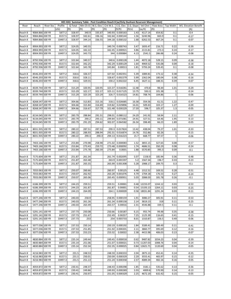|                    | HEC-RAS Summary Table - Post Condition Reach 8 (w/Only Dunham Reservoir Management) |           |                   |                   |                   |                       |                   |                           |                |                                |                                               |                     |                       |
|--------------------|-------------------------------------------------------------------------------------|-----------|-------------------|-------------------|-------------------|-----------------------|-------------------|---------------------------|----------------|--------------------------------|-----------------------------------------------|---------------------|-----------------------|
| River              | Reach                                                                               | River Sta | Profile           | Q Total           |                   | Min Ch El   W.S. Elev | Crit W.S.         |                           |                |                                | E.G. Elev   E.G. Slope   Vel Chnl   Flow Area | Top Width           | WS. Elevation Benefit |
|                    |                                                                                     |           | (cfs)             | (f <sub>t</sub> ) | (f <sub>t</sub> ) | (f <sup>t</sup> )     | (f <sub>t</sub> ) | (ft/ft)                   | (ft/s)         | (sq ft)                        | (f <sup>t</sup> )                             |                     | (f <sub>t</sub> )     |
| Reach 8            | 9084.866 100 YR                                                                     |           | 5877.2            | 328.97            | 340.9             | 335.67                | 340.93            | 0.000163                  | 1.43           | 4117.14                        | 654.82                                        | 0.1                 | $-0.4$                |
| Reach 8            | 9084.866 200 YR                                                                     |           | 8157.5            | 328.97            | 342.61            | 336.16                | 342.64            | 0.000144                  | 1.56           | 5240.96                        | 663.9                                         | 0.1                 | $-0.17$               |
| Reach 8            | 9084.866 500 YR                                                                     |           | 10497.3           | 328.97            | 344.14            | 336.55                | 344.18            | 0.000132                  | 1.68           | 6262.53                        | 667.24                                        | 0.1                 | $-0.07$               |
|                    | 8904.993 100 YR                                                                     |           |                   |                   |                   |                       | 340.74            |                           | 3.47           |                                |                                               | 0.22                | $-0.39$               |
| Reach 8<br>Reach 8 | 8904.993 200 YR                                                                     |           | 5877.2<br>8157.5  | 324.05<br>324.05  | 340.55<br>342.22  |                       | 342.45            | 0.000743<br>0.000921      | 3.86           | 1693.47<br>2115.81             | 216.71<br>273.3                               | 0.24                | $-0.17$               |
| Reach 8            | 8904.993 500 YR                                                                     |           | 10497.3           | 324.05            | 343.73            |                       | 344               | 0.000884                  | 4.13           | 2541.5                         | 286.88                                        | 0.24                | $-0.08$               |
|                    |                                                                                     |           |                   |                   |                   |                       |                   |                           |                |                                |                                               |                     |                       |
| Reach 8            | 8792.936 100 YR                                                                     |           | 5877.2            | 322.64            | 340.57            |                       | 340.6             | 0.000128                  | 1.44           | 4072.18                        | 528.15                                        | 0.09                | $-0.38$               |
| Reach 8            | 8792.936 200 YR                                                                     |           | 8157.5            | 322.64            | 342.25            |                       | 342.29            | 0.000129                  | 1.64           | 4969.52                        | 535.08                                        | 0.09                | $-0.18$               |
| Reach 8            | 8792.936 500 YR                                                                     |           | 10497.3           | 322.64            | 343.78            |                       | 343.84            | 0.00013                   | 1.81           | 5793.24                        | 539.45                                        | 0.1                 | $-0.08$               |
|                    |                                                                                     |           |                   |                   |                   |                       |                   |                           |                |                                |                                               |                     |                       |
| Reach 8            | 8546.203 100 YR                                                                     |           | 5877.2            | 318.6             | 326.57            |                       | 327.02            | 0.002351                  | 5.39           | 1089.81                        | 173.12                                        | 0.38                | $-0.34$               |
| Reach 8            | 8546.203 200 YR                                                                     |           | 8157.5            | 318.6             | 328.11            |                       | 328.67            | 0.002279                  | 5.99           | 1362.04                        | 180.04                                        | 0.38                | $-0.16$               |
| Reach 8            | 8546.203 500 YR                                                                     |           | 10497.3           | 318.6             | 329.55            |                       | 330.2             | 0.002222                  | 6.45           | 1627.11                        | 188.31                                        | 0.39                | $-0.07$               |
|                    |                                                                                     |           |                   |                   |                   |                       |                   |                           |                |                                |                                               |                     |                       |
| Reach 8<br>Reach 8 | 8339.744 100 YR<br>8339.744 200 YR                                                  |           | 5877.2<br>8157.5  | 315.29<br>315.29  | 320.95<br>322.17  | 320.95<br>322.17      | 323.37<br>325.11  | 0.018281<br>0.017125      | 12.48<br>13.75 | 470.8<br>593.3                 | 98.44<br>101.38                               | 1.01<br>$\mathbf 1$ | $-0.29$<br>$-0.14$    |
| Reach 8            | 8339.744 500 YR                                                                     |           | 10497.3           | 315.29            | 323.29            | 323.29                | 326.7             | 0.016523                  | 14.81          | 708.74                         | 104.86                                        | $\mathbf{1}$        | $-0.06$               |
|                    |                                                                                     |           |                   |                   |                   |                       |                   |                           |                |                                |                                               |                     |                       |
| Reach 8            | 8268.547 100 YR                                                                     |           | 5877.2            | 304.66            | 313.83            | 315.16                | 318.1             | 0.026685                  | 16.58          | 354.56                         | 61.51                                         | 1.22                | $-0.47$               |
| Reach 8            | 8268.547 200 YR                                                                     |           | 8157.5            | 304.66            | 315.84            | 316.69                | 319.82            | 0.029896                  | 16.01          | 509.43                         | 103.17                                        | 1.27                | $-0.09$               |
| Reach 8            | 8268.547 500 YR                                                                     |           | 10497.3           | 304.66            | 316.67            | 317.79                | 321.48            | 0.030229                  | 17.59          | 596.7                          | 105.37                                        | 1.3                 | $-0.05$               |
|                    |                                                                                     |           |                   |                   |                   |                       |                   |                           |                |                                |                                               |                     |                       |
| Reach 8            | 8134.045 100 YR                                                                     |           | 5877.2            | 283.79            | 288.84            | 291.51                | 298.01            | 0.088112                  | 24.29          | 241.92                         | 58.94                                         | 2.11                | $-0.27$               |
| Reach 8            | 8134.045 200 YR                                                                     |           | 8157.5            | 283.79            | 290.2             | 293.11                | 299.84            | 0.071081                  | 24.91          | 327.51                         | 64.46                                         | 1.95                | $-0.13$               |
| Reach 8            | 8134.045 500 YR                                                                     |           | 10497.3           | 283.79            | 291.29            | 294.62                | 302.07            | 0.064582                  | 26.34          | 398.49                         | 66.23                                         | 1.89                | $-0.05$               |
| Reach 8            | 8031.935 100 YR                                                                     |           | 5877.2            | 280.22            | 287.51            | 287.53                | 290.3             | 0.017824                  | 13.42          | 438.04                         | 79.27                                         | 1.01                | $-0.33$               |
| Reach 8            | 8031.935 200 YR                                                                     |           | 8157.5            | 280.22            | 288.93            | 288.94                | 292.31            | 0.016874                  | 14.76          | 552.86                         | 82.26                                         | $\mathbf{1}$        | $-0.15$               |
| Reach 8            | 8031.935 500 YR                                                                     |           | 10497.3           | 280.22            | 290.3             | 290.3                 | 294.13            | 0.016223                  | 15.7           | 668.77                         | 87.57                                         | $\mathbf{1}$        | $-0.06$               |
|                    |                                                                                     |           |                   |                   |                   |                       |                   |                           |                |                                |                                               |                     |                       |
| Reach 8            | 7403.166 100 YR                                                                     |           | 5877.2            | 253.84            | 270.98            | 258.98                | 271.02            | 0.000083                  | 1.52           | 3855.15                        | 327.65                                        | 0.08                | $-0.57$               |
| Reach 8            | 7403.166 200 YR                                                                     |           | 8157.5            | 253.84            | 273.43            | 259.72                | 273.48            | 0.000092                  | 1.74           | 4686.51                        | 350.29                                        | 0.08                | $-0.24$               |
| Reach 8            | 7403.166 500 YR                                                                     |           | 10497.3           | 253.84            | 275.78            | 260.39                | 275.84            | 0.0001                    | 1.88           | 5570.85                        | 395.3                                         | 0.09                | $-0.1$                |
|                    | 7175.604 100 YR                                                                     |           |                   | 251.87            | 261.34            |                       |                   | 0.002095                  | 5.07           |                                | 185.94                                        |                     | $-0.48$               |
| Reach 8<br>Reach 8 | 7175.604 200 YR                                                                     |           | 5877.2<br>8157.5  | 251.87            | 263.48            |                       | 261.74<br>263.9   | 0.001597                  | 5.2            | 1158.9<br>1567.34              | 196.7                                         | 0.36<br>0.33        | $-0.23$               |
| Reach 8            | 7175.604 500 YR                                                                     |           | 10497.3           | 251.87            | 265.55            |                       | 265.99            | 0.001308                  | 5.28           | 1988.17                        | 209.75                                        | 0.3                 | $-0.1$                |
|                    |                                                                                     |           |                   |                   |                   |                       |                   |                           |                |                                |                                               |                     |                       |
| Reach 8            | 7033.063 100 YR                                                                     |           | 5877.2            | 250.07            | 260.66            |                       | 260.97            | 0.00125                   | 4.48           | 1312.52                        | 169.52                                        | 0.28                | $-0.51$               |
| Reach 8            | 7033.063 200 YR                                                                     |           | 8157.5            | 250.07            | 262.92            |                       | 263.28            | 0.001076                  | 4.79           | 1704.18                        | 176.53                                        | 0.27                | $-0.24$               |
| Reach 8            | 7033.063 500 YR                                                                     |           | 10497.3           | 250.07            | 265.06            |                       | 265.45            | 0.000951                  | 5.03           | 2088.03                        | 181.78                                        | 0.26                | $-0.1$                |
|                    |                                                                                     |           |                   |                   |                   |                       |                   |                           |                |                                |                                               |                     |                       |
| Reach 8            | 6186.399 100 YR                                                                     |           | 5877.2            | 244.23            | 259.51            |                       | 259.51            | 0.00001                   |                | 0.48 12233.07<br>0.54 15193.13 | 1244.12                                       | 0.03<br>0.03        | $-0.53$<br>$-0.25$    |
| Reach 8<br>Reach 8 | 6186.399 200 YR<br>6186.399 500 YR                                                  |           | 8157.5<br>10497.3 | 244.23<br>244.23  | 261.87<br>264.09  |                       | 261.87            | 0.00001<br>264.1 0.000009 |                | 0.58 18031.84                  | 1264.11<br>1291.24                            | 0.03                | $-0.11$               |
|                    |                                                                                     |           |                   |                   |                   |                       |                   |                           |                |                                |                                               |                     |                       |
| Reach 8            | 5477.246 100 YR                                                                     |           | 5877.2            | 240.03            | 258.9             |                       | 258.95            | 0.000159                  | 1.91           | 3080.27                        | 305.91                                        | 0.11                | $-0.53$               |
| Reach 8            | 5477.246 200 YR                                                                     |           | 8157.5            | 240.03            | 261.26            |                       | 261.34            | 0.000158                  | 2.14           | 3819.13                        | 318                                           | 0.11                | $-0.25$               |
| Reach 8            | 5477.246 500 YR                                                                     |           | 10497.3           | 240.03            | 263.49            |                       | 263.57            | 0.00016                   | 2.31           | 4546.88                        | 339.5                                         | 0.11                | $-0.1$                |
|                    |                                                                                     |           |                   |                   |                   |                       |                   |                           |                |                                |                                               |                     |                       |
| Reach 8            | 5291.141 100 YR                                                                     |           | 5877.2            | 237.73            | 250.08            |                       | 250.66            | 0.00187                   | 6.15           | 955.74                         | 99.48                                         | 0.35                | $-0.38$               |
| Reach 8<br>Reach 8 | 5291.141 200 YR<br>5291.141 500 YR                                                  |           | 8157.5<br>10497.3 | 237.73<br>237.73  | 251.67<br>253     |                       | 252.49<br>254     | 0.00257<br>0.003733       | 7.25<br>8.01   | 1125.39<br>1310.87             | 116.65<br>156.5                               | 0.41<br>0.49        | $-0.15$<br>$-0.06$    |
|                    |                                                                                     |           |                   |                   |                   |                       |                   |                           |                |                                |                                               |                     |                       |
| Reach 8            | 5077.036 100 YR                                                                     |           | 5877.2            | 237.53            | 250.14            |                       | 250.19            | 0.000192                  | 1.84           | 3189.41                        | 389.49                                        | 0.11                | $-0.41$               |
| Reach 8            | 5077.036 200 YR                                                                     |           | 8157.5            | 237.53            | 251.85            |                       | 251.92            | 0.000201                  | 2.11           | 3860.77                        | 395.69                                        | 0.12                | $-0.16$               |
| Reach 8            | 5077.036 500 YR                                                                     |           | 10497.3           | 237.53            | 253.23            |                       | 253.32            | 0.00022                   | 2.38           | 4415.98                        | 406.03                                        | 0.13                | $-0.07$               |
|                    |                                                                                     |           |                   |                   |                   |                       |                   |                           |                |                                |                                               |                     |                       |
| Reach 8            | 4830.884 100 YR                                                                     |           | 5877.2            | 235.14            | 249.44            |                       | 249.45            | 0.000018                  | 0.62           | 9487.82                        | 1034.23                                       | 0.04                | $-0.39$               |
| Reach 8            | 4830.884 200 YR                                                                     |           | 8157.5            | 235.14            | 251.06            |                       | 251.07            | 0.000021                  |                | 0.73 11207.03                  | 1088.76                                       | 0.04                | $-0.14$               |
| Reach 8            | 4830.884 500 YR                                                                     |           | 10497.3           | 235.14            | 252.34            |                       |                   | 252.35 0.000025           |                | 0.84 12621.71                  | 1120.69                                       | 0.04                | $-0.05$               |
| Reach 8            | 4216.983 100 YR                                                                     |           | 5877.2            | 231.5             | 248.53            |                       | 248.59            | 0.000333                  | 2.04           | 2875.13                        | 452.41                                        | 0.14                | $-0.35$               |
| Reach 8            | 4216.983 200 YR                                                                     |           | 8157.5            | 231.5             | 250.01            |                       |                   | 250.09 0.000329           | 2.29           | 3555.41                        | 465.97                                        | 0.15                | $-0.12$               |
| Reach 8            | 4216.983 500 YR                                                                     |           | 10497.3           | 231.5             | 251.13            |                       | 251.24            | 0.000358                  | 2.57           | 4089.34                        | 482.16                                        | 0.16                | $-0.05$               |
|                    |                                                                                     |           |                   |                   |                   |                       |                   |                           |                |                                |                                               |                     |                       |
| Reach 8            | 4059.872 100 YR                                                                     |           | 5877.2            | 230.41            | 248.37            |                       | 248.43            | 0.000298                  | 1.85           | 3181.1                         | 535.62                                        | 0.13                | $-0.36$               |
| Reach 8            | 4059.872 200 YR                                                                     |           | 8157.5            | 230.41            | 249.86            |                       | 249.93            | 0.000289                  | 2.03           | 4009.8                         | 570.99                                        | 0.14                | $-0.13$               |
| Reach 8            | 4059.872 500 YR                                                                     |           | 10497.3           | 230.41            | 250.97            |                       | 251.05            | 0.000329                  | 2.25           | 4672.19                        | 632.42                                        | 0.15                | $-0.05$               |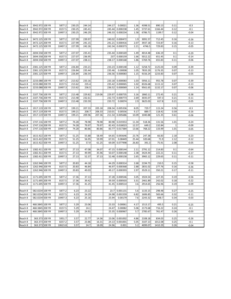| Reach 8 | 3942.972 100 YR | 5877.2  | 230.25 | 244.14 |        | 244.17 | 0.00021        | 1.36  | 4398.51 | 890.13  | 0.11         | $-0.3$  |
|---------|-----------------|---------|--------|--------|--------|--------|----------------|-------|---------|---------|--------------|---------|
| Reach 8 | 3942.972 200 YR | 8157.5  | 230.25 | 245.41 |        | 245.44 | 0.000238       | 1.45  | 5737.61 | 1166.44 | 0.12         | $-0.1$  |
| Reach 8 | 3942.972 500 YR | 10497.3 | 230.25 | 246.29 |        | 246.33 | 0.000234       | 1.58  | 6786.71 | 1199.7  | 0.12         | $-0.04$ |
|         |                 |         |        |        |        |        |                |       |         |         |              |         |
| Reach 8 | 3472.125 100 YR | 5877.2  | 227.99 | 239.97 |        | 240.02 | 0.000472       | 1.9   | 3091.57 | 712.45  | 0.16         | $-0.26$ |
| Reach 8 | 3472.125 200 YR | 8157.5  | 227.99 | 241.15 |        | 241.21 | 0.000416       | 2.07  | 3937.18 | 723.87  | 0.16         | $-0.13$ |
| Reach 8 | 3472.125 500 YR | 10497.3 | 227.99 | 242.26 |        | 242.34 | 0.000373       | 2.21  | 4746.5  | 729.83  | 0.15         | $-0.05$ |
|         |                 |         |        |        |        |        |                |       |         |         |              |         |
| Reach 8 | 2694.558 100 YR | 5877.2  | 227.07 | 235.41 |        | 235.44 | 0.000169       | 1.49  | 4014.48 | 636.19  | 0.1          | $-0.29$ |
| Reach 8 | 2694.558 200 YR | 8157.5  | 227.07 | 236.95 |        | 237    | 0.000159       | 1.66  | 5012.22 | 651.45  | 0.1          | $-0.14$ |
| Reach 8 | 2694.558 500 YR | 10497.3 | 227.07 | 238.11 |        | 238.17 | 0.000168       | 1.86  | 5769.76 | 655.83  | 0.11         | $-0.06$ |
|         |                 |         |        |        |        |        |                |       |         |         |              |         |
| Reach 8 | 2381.125 100 YR | 5877.2  | 226.84 | 233.21 |        | 233.23 | 0.000148       | 1.12  | 5258.72 | 1125.03 | 0.09         | $-0.39$ |
| Reach 8 | 2381.125 200 YR | 8157.5  | 226.84 | 235.44 |        | 235.46 | 0.00008        | 1.05  | 7833.29 | 1176.35 | 0.07         | $-0.13$ |
| Reach 8 | 2381.125 500 YR | 10497.3 | 226.84 | 236.54 |        | 236.56 | 0.000083       | 1.15  | 9156.24 | 1233.83 | 0.07         | $-0.05$ |
|         |                 |         |        |        |        |        |                |       |         |         |              |         |
| Reach 8 | 2233.088 100 YR | 5877.2  | 213.62 | 233.16 |        | 233.18 | 0.000083       | 1.03  | 5956.11 | 955.78  | 0.07         | $-0.39$ |
| Reach 8 | 2233.088 200 YR | 8157.5  | 213.62 | 235.4  |        | 235.42 | 0.000065       | 1.02  | 8326.68 | 1115.12 | 0.07         | $-0.13$ |
| Reach 8 | 2233.088 500 YR | 10497.3 | 213.62 | 236.5  |        | 236.52 | 0.000069       | 1.14  | 9561.65 | 1132.17 | 0.07         | $-0.06$ |
|         |                 |         |        |        |        |        |                |       |         |         |              |         |
| Reach 8 | 2107.736 100 YR | 5877.2  | 213.48 | 229.82 | 219.06 | 229.97 | 0.000735       | 3.16  | 1860.11 | 272.45  | 0.21         | $-0.38$ |
| Reach 8 | 2107.736 200 YR | 8157.5  | 213.48 | 232.61 |        | 232.73 | 0.000773       | 2.69  | 3035.07 | 597.3   | 0.21         | $-0.11$ |
| Reach 8 | 2107.736 500 YR | 10497.3 | 213.48 | 233.59 |        | 233.72 | 0.00074        | 2.9   | 3625.03 | 617.8   | 0.21         | $-0.05$ |
|         |                 |         |        |        |        |        |                |       |         |         |              |         |
| Reach 8 | 1917.119 100 YR | 5877.2  | 199.21 | 207.33 | 205.18 | 208.34 | 0.005336       | 8.05  | 729.7   | 115.24  | 0.56         | $-0.3$  |
| Reach 8 | 1917.119 200 YR | 8157.5  | 199.21 | 208.7  | 206.33 | 210.01 | 0.00556        | 9.17  | 889.7   | 118.42  | 0.59         | $-0.16$ |
| Reach 8 | 1917.119 500 YR | 10497.3 | 199.21 | 209.96 | 207.36 | 211.54 | 0.005686       | 10.09 | 1040.88 | 121.35  | 0.61         | $-0.06$ |
|         |                 |         |        |        |        |        |                |       |         |         |              |         |
| Reach 8 | 1747.116 100 YR | 5877.2  | 74.28  | 78.98  | 78.98  | 80.98  | 0.019353       | 11.34 | 518.36  | 131.56  | 1.01         | $-0.24$ |
| Reach 8 | 1747.116 200 YR | 8157.5  | 74.28  | 79.97  | 79.97  | 82.43  | 0.018023       | 12.57 | 649.2   | 132.84  | $\mathbf{1}$ | $-0.09$ |
| Reach 8 | 1747.116 500 YR | 10497.3 | 74.28  | 80.86  | 80.86  | 83.77  | 0.017384       | 13.66 | 768.22  | 133.99  | 1.01         | $-0.05$ |
|         |                 |         |        |        |        |        |                |       |         |         |              |         |
| Reach 8 | 1615.422 100 YR | 5877.2  | 51.25  | 55.88  | 58.49  | 64.65  | 0.093646       | 23.76 | 247.38  | 66.83   | 2.18         | $-0.23$ |
| Reach 8 | 1615.422 200 YR | 8157.5  | 51.25  | 56.95  | 59.99  | 67.01  | 0.08449        | 25.44 | 320.68  | 71.9    | 2.12         | $-0.12$ |
| Reach 8 | 1615.422 500 YR | 10497.3 | 51.25  | 57.9   | 61.25  | 69.09  | 0.077998       | 26.83 | 391.3   | 75.91   | 2.08         | $-0.05$ |
|         |                 |         |        |        |        |        |                |       |         |         |              |         |
| Reach 8 | 1382.411 100 YR | 5877.2  | 27.13  | 47.08  | 34.07  | 47.15  | 0.000144       | 2.11  | 2791.12 | 214.83  | 0.1          | $-0.64$ |
| Reach 8 | 1382.411 200 YR | 8157.5  | 27.13  | 49.99  | 35.96  | 50.07  | 0.000148       | 2.38  | 3424.44 | 222.21  | 0.11         | $-0.37$ |
| Reach 8 | 1382.411 500 YR | 10497.3 | 27.13  | 52.37  | 37.13  | 52.48  | 0.000158       | 2.65  | 3965.12 | 229.65  | 0.11         | $-0.11$ |
|         |                 |         |        |        |        |        |                |       |         |         |              |         |
| Reach 8 | 1262.946 100 YR | 5877.2  | 20.83  | 44.18  |        | 44.29  | 0.000314       | 2.68  | 2194.73 | 210.5   | 0.15         | $-0.58$ |
| Reach 8 | 1262.946 200 YR | 8157.5  | 20.83  | 46.84  |        | 46.97  | 0.000368       | 2.88  | 2831.02 | 277.76  | 0.16         | $-0.36$ |
| Reach 8 | 1262.946 500 YR | 10497.3 | 20.83  | 49.03  |        | 49.17  | 0.000393       | 2.97  | 3529.11 | 350.21  | 0.17         | $-0.11$ |
|         |                 |         |        |        |        |        |                |       |         |         |              |         |
| Reach 8 | 1171.695 100 YR | 5877.2  | 17.36  | 37.13  |        | 37.28  | 0.000546       | 3.05  | 1924.54 | 227.35  | 0.19         | $-0.56$ |
| Reach 8 | 1171.695 200 YR | 8157.5  | 17.36  | 39.42  |        | 39.59  | 0.000503       | 3.31  | 2461.89 | 242.02  | 0.18         | $-0.22$ |
| Reach 8 | 1171.695 500 YR | 10497.3 | 17.36  | 41.25  |        | 41.45  | 0.000514       | 3.6   | 2914.65 | 256.96  | 0.19         | $-0.09$ |
|         |                 |         |        |        |        |        |                |       |         |         |              |         |
| Reach 8 | 582.0234 100 YR | 5877.2  | 6.23   | 23.22  |        |        | 23.7 0.001131  | 5.6   | 1133.15 | 298.48  | 0.27         | $-0.25$ |
| Reach 8 | 582.0234 200 YR | 8157.5  | 6.23   | 24.29  |        |        | 24.98 0.001559 | 6.82  | 1606.85 | 583.66  | 0.32         | $-0.11$ |
| Reach 8 | 582.0234 500 YR | 10497.3 | 6.23   | 25.16  |        | 25.94  | 0.00179        | 7.6   | 2243.32 | 848.7   | 0.34         | $-0.03$ |
|         |                 |         |        |        |        |        |                |       |         |         |              |         |
| Reach 8 | 468.3845 100 YR | 5877.2  | 5.29   | 23.06  |        | 23.33  | 0.00061        | 4.17  | 1513.17 | 495.5   | 0.21         | $-0.25$ |
| Reach 8 | 468.3845 200 YR | 8157.5  | 5.29   | 24.1   |        | 24.47  | 0.00082        | 5.06  | 2173.68 | 716.22  | 0.24         | $-0.1$  |
| Reach 8 | 468.3845 500 YR | 10497.3 | 5.29   | 24.91  |        |        | 25.35 0.000967 | 5.7   | 2785.67 | 761.47  | 0.26         | $-0.03$ |
|         |                 |         |        |        |        |        |                |       |         |         |              |         |
| Reach 8 | 363.373 100 YR  | 5951.7  | 3.57   | 22.77  | 14.36  | 23.06  | 0.001002       | 4.86  | 2108.18 | 834.03  | 0.25         | $-0.26$ |
| Reach 8 | 363.373 200 YR  | 8257.2  | 3.57   | 23.86  | 16.31  | 24.13  | 0.001001       | 5.05  | 3107.13 | 1012.08 | 0.25         | $-0.1$  |
| Reach 8 | 363.373 500 YR  | 10623.8 | 3.57   | 24.7   | 18.09  | 24.96  | 0.001          | 5.2   | 4099.07 | 1410.29 | 0.26         | $-0.04$ |
|         |                 |         |        |        |        |        |                |       |         |         |              |         |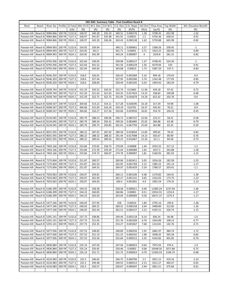| HEC-RAS Summary Table - Post Condition Reach 8      |         |                                      |               |                         |                   |                   |                   |                   |                                                |                |                    |                   |                       |
|-----------------------------------------------------|---------|--------------------------------------|---------------|-------------------------|-------------------|-------------------|-------------------|-------------------|------------------------------------------------|----------------|--------------------|-------------------|-----------------------|
| River                                               | Reach   | River Sta                            | Profile       |                         | Q Total Min Ch El |                   |                   |                   | W.S. Elev   Crit W.S.   E.G. Elev   E.G. Slope | Vel Chnl       | Flow Area          | Top Width         | WS. Elevation Benefit |
|                                                     |         |                                      |               | (cfs)                   | (ft)              | (f <sup>t</sup> ) | (f <sup>t</sup> ) | (f <sup>t</sup> ) | (ft/ft)                                        | $({\rm ft/s})$ | (sq ft)            | (f <sup>t</sup> ) | (ft)                  |
| Poesten Kill                                        | Reach 8 | 9084.866                             |               | 100 YR 5132.8           | 328.97            | 340.28            | 335.33            | 340.31            | 0.000176                                       | 1.38           | 3708.35            | 652.98            | $-1.02$               |
| Poesten Kill                                        | Reach 8 | 9084.866                             | 200 YR        | 7127.3                  | 328.97            | 341.87            | 335.98            | 341.91            | 0.00015                                        | 1.5            | 4756.36            | 658.55            | $-0.91$               |
| Poesten Kill                                        | Reach 8 | 9084.866                             |               | 500 YR 9324.1           | 328.97            | 343.39            | 336.36            | 343.43            | 0.000138                                       | 1.62           | 5759.88            | 665.98            | $-0.82$               |
|                                                     |         |                                      |               |                         |                   |                   |                   |                   |                                                |                |                    |                   |                       |
| Poesten Kill                                        |         | Reach 8 8904.993                     |               | 100 YR 5132.8           | 324.05            | 339.94            |                   | 340.11            | 0.000661                                       | 3.27           | 1568.26            | 200.45            | $-1$                  |
| Poesten Kill                                        |         | Reach 8 8904.993                     | 200 YR        | 7127.3                  | 324.05            | 341.5             |                   | 341.71            | 0.00091                                        | 3.71           | 1923.25            | 260.96            | $-0.89$               |
| Poesten Kill                                        |         | Reach 8 8904.993                     | 500 YR        | 9324.1                  | 324.05            | 342.99            |                   | 343.24            | 0.000907                                       | 4              | 2329.8             | 281.31            | $-0.82$               |
|                                                     |         |                                      |               |                         |                   |                   |                   |                   |                                                |                |                    |                   |                       |
| Poesten Kill                                        |         | Reach 8 8792.936                     |               | 100 YR 5132.8           | 322.64            | 339.95            |                   | 339.98            | 0.000127                                       | 1.37           | 3748.45            | 524.34            | $-1$                  |
| Poesten Kill                                        | Reach 8 | 8792.936                             | 200 YR        | 7127.3                  | 322.64            | 341.52            |                   | 341.56            | 0.000129                                       | 1.56           | 4579.94            | 533               | $-0.91$               |
| Poesten Kill                                        | Reach 8 | 8792.936                             | 500 YR        | 9324.1                  | 322.64            | 343.03            |                   | 343.08            | 0.00013                                        | 1.73           | 5387.29            | 537.3             | $-0.83$               |
|                                                     |         |                                      |               |                         |                   |                   |                   |                   |                                                |                |                    |                   |                       |
| Poesten Kill                                        |         | Reach 8 8546.203                     |               | 100 YR 5132.8           | 318.6             | 326.01            |                   | 326.42            | 0.002384                                       | 5.16           | 994.18             | 170.63            | $-0.9$                |
| Poesten Kill                                        |         | Reach 8 8546.203                     |               | 200 YR 7127.3           | 318.6             | 327.44            |                   | 327.95            | 0.002306                                       | 5.74           | 1242.48            | 177.03            | $-0.83$               |
| Poesten Kill                                        |         | Reach 8 8546.203                     | 500 YR 9324.1 |                         | 318.6             | 328.83            |                   | 329.44            | 0.002245                                       | 6.24           | 1493.92            | 183.29            | $-0.79$               |
|                                                     |         |                                      |               |                         |                   |                   |                   |                   |                                                |                |                    |                   |                       |
| Poesten Kill                                        |         | Reach 8 8339.744                     | 100 YR        | 5132.8                  | 315.29            | 320.52            | 320.52            | 322.74            | 0.01865                                        | 11.96          | 429.18             | 97.42             | $-0.72$               |
| Poesten Kill                                        |         | Reach 8 8339.744                     |               | 200 YR 7127.3           | 315.29            | 321.63            | 321.63            | 324.35            | 0.017633                                       | 13.23          | 538.83             | 100.08            | $-0.68$               |
| Poesten Kill                                        | Reach 8 | 8339.744                             | 500 YR        | 9324.1                  | 315.29            | 322.75            | 322.75            | 325.93            | 0.016679                                       | 14.29          | 652.42             | 102.76            | $-0.6$                |
|                                                     |         |                                      |               |                         |                   |                   |                   |                   |                                                |                |                    |                   |                       |
| Poesten Kill                                        |         | Reach 8 8268.547                     |               | 100 YR 5132.8           | 304.66            | 313.22            | 314.11            | 317.28            | 0.028296                                       | 16.18          | 317.29             | 59.98             | $-1.08$               |
| Poesten Kill                                        |         | Reach 8 8268.547                     |               | 200 YR 7127.3           | 304.66            | 315.03            | 316.19            | 319.19            | 0.02701                                        | 16.37          | 435.43             | 78.21             | $-0.9$                |
| Poesten Kill                                        |         | Reach 8 8268.547                     | 500 YR        | 9324.1                  | 304.66            | 316.27            | 317.26            | 320.66            | 0.029926                                       | 16.81          | 554.74             | 104.32            | $-0.45$               |
|                                                     |         |                                      |               |                         |                   |                   |                   |                   |                                                |                |                    |                   |                       |
| Poesten Kill                                        |         | Reach 8 8134.045                     |               | 100 YR 5132.8           | 283.79            | 288.53            | 290.96            | 296.72            | 0.085767                                       | 22.96          | 223.57             | 58.31             | $-0.58$               |
| Poesten Kill                                        |         | Reach 8 8134.045                     |               | 200 YR 7127.3           | 283.79            | 289.54            | 292.41            | 299.26            | 0.083485                                       | 25.02          | 284.88             | 63.38             | $-0.79$               |
| Poesten Kill                                        | Reach 8 | 8134.045                             | 500 YR        | 9324.1                  | 283.79            | 290.75            | 293.85            | 301.01            | 0.067794                                       | 25.69          | 362.88             | 65.35             | $-0.59$               |
|                                                     |         |                                      |               |                         |                   |                   |                   |                   |                                                |                |                    |                   |                       |
| Poesten Kill                                        |         | Reach 8 8031.935                     |               | 100 YR 5132.8           | 280.22            | 287.02            | 287.02            | 289.58            | 0.018034                                       | 12.84          | 399.65             | 78.24             | $-0.82$               |
| Poesten Kill                                        |         | Reach 8 8031.935                     |               | 200 YR 7127.3           | 280.22            | 288.32            | 288.32            | 291.44            | 0.017098                                       | 14.15          | 503.67             | 80.99             | $-0.76$               |
| Poesten Kill                                        |         | Reach 8 8031.935                     | 500 YR 9324.1 |                         | 280.22            | 289.63            | 289.63            | 293.25            | 0.016467                                       | 15.26          | 611.1              | 84.58             | $-0.73$               |
|                                                     |         |                                      |               |                         |                   |                   |                   |                   |                                                |                |                    |                   |                       |
| Poesten Kill                                        | Reach 8 | 7403.166                             | 100 YR        | 5132.8                  | 253.84            | 270.05            | 258.73            | 270.09            | 0.00008                                        | 1.44           | 3555.55            | 317.12            | $-1.5$                |
| Poesten Kill                                        |         | Reach 8 7403.166                     |               | 200 YR 7127.3           | 253.84            | 272.39            | 259.39            | 272.44            | 0.000089                                       | 1.65           | 4327.5             | 342.88            | $-1.28$               |
| Poesten Kill                                        | Reach 8 | 7403.166                             | 500 YR        | 9324.1                  | 253.84            | 274.73            | 260.07            | 274.78            | 0.000097                                       | 1.81           | 5160.05            | 381.03            | $-1.15$               |
|                                                     |         |                                      |               |                         |                   |                   |                   |                   |                                                |                |                    |                   |                       |
| Poesten Kill                                        |         | Reach 8 7175.604<br>Reach 8 7175.604 | 200 YR        | 100 YR 5132.8<br>7127.3 | 251.87<br>251.87  | 260.57            |                   | 260.96<br>262.95  | 0.002411<br>0.001769                           | 5.05<br>5.15   | 1016.26<br>1385.22 | 182.58<br>191.14  | $-1.25$<br>$-1.17$    |
| Poesten Kill<br>Poesten Kill                        |         | Reach 8 7175.604                     | 500 YR        | 9324.1                  | 251.87            | 262.54<br>264.55  |                   | 264.97            | 0.001429                                       | 5.24           | 1780.57            | 203.41            | $-1.1$                |
|                                                     |         |                                      |               |                         |                   |                   |                   |                   |                                                |                |                    |                   |                       |
| Poesten Kill                                        |         | Reach 8 7033.063                     | 100 YR        | 5132.8                  | 250.07            | 259.81            |                   | 260.11            | 0.001336                                       | 4.38           | 1170.82            | 164.41            | $-1.36$               |
| Poesten Kill                                        | Reach 8 | 7033.063                             | 200 YR        | 7127.3                  | 250.07            | 261.94            |                   | 262.27            | 0.001141                                       | 4.65           | 1532.05            | 173.75            | $-1.22$               |
| Poesten Kill                                        | Reach 8 | 7033.063                             | 500 YR        | 9324.1                  | 250.07            | 264.03            |                   | 264.4             | 0.001001                                       | 4.9            | 1901.54            | 179.25            | $-1.13$               |
|                                                     |         |                                      |               |                         |                   |                   |                   |                   |                                                |                |                    |                   |                       |
| Poesten Kill   Reach 8   6186.399   100 YR   5132.8 |         |                                      |               |                         | 244.23            | 258.58            |                   | 258.58            | 0.000011                                       | 0.46           | 11083.24           | 1237.94           | $-1.46$               |
| Poesten Kill                                        |         | Reach 8 6186.399                     |               | 200 YR 7127.3           | 244.23            | 260.85            |                   | 260.86            | 0.00001                                        | 0.51           | 13914.55           | 1253.8            | $-1.27$               |
| Poesten Kill                                        |         | Reach 8 6186.399                     |               | 500 YR 9324.1           | 244.23            | 263.03            |                   | 263.04            | 0.000009                                       | 0.56           | 16671.37           | 1275.4            | $-1.17$               |
|                                                     |         |                                      |               |                         |                   |                   |                   |                   |                                                |                |                    |                   |                       |
| Poesten Kill                                        |         | Reach 8 5477.246 100 YR 5132.8       |               |                         | 240.03            | 257.95            |                   | 258               | 0.00016                                        | 1.84           | 2795.16            | 295.8             | $-1.48$               |
| Poesten Kill                                        |         | Reach 8 5477.246                     | 200 YR 7127.3 |                         | 240.03            | 260.25            |                   | 260.31            | 0.000158                                       | 2.04           | 3498.89            | 312.82            | $-1.26$               |
| Poesten Kill                                        |         | Reach 8 5477.246                     |               | 500 YR 9324.1           | 240.03            | 262.44            |                   | 262.51            | 0.000157                                       | 2.22           | 4195.51            | 326.74            | $-1.15$               |
|                                                     |         |                                      |               |                         |                   |                   |                   |                   |                                                |                |                    |                   |                       |
| Poesten Kill                                        |         | Reach 8 5291.141                     |               | 100 YR 5132.8           | 237.73            | 248.86            |                   | 249.44            | 0.002118                                       | 6.14           | 836.24             | 96.48             | $-1.6$                |
| Poesten Kill                                        |         | Reach 8 5291.141                     |               | 200 YR 7127.3           | 237.73            | 251.05            |                   | 251.76            | 0.002209                                       | 6.76           | 1054.89            | 108.13            | $-0.77$               |
| Poesten Kill                                        |         | Reach 8   5291.141   500 YR   9324.1 |               |                         | 237.73            | 252.35            |                   | 253.27            | 0.003367                                       | 7.68           | 1214.81            | 142.76            | $-0.71$               |
|                                                     |         |                                      |               |                         |                   |                   |                   |                   |                                                |                |                    |                   |                       |
| Poesten Kill                                        |         | Reach 8 5077.036 100 YR 5132.8       |               |                         | 237.53            | 248.83            |                   | 248.89            | 0.000256                                       | 1.91           | 2681.97            | 384.74            | $-1.72$               |
| Poesten Kill                                        |         | Reach 8 5077.036                     |               | 200 YR 7127.3           | 237.53            | 251.19            |                   | 251.25            | 0.000192                                       | 1.98           | 3598.35            | 393.28            | $-0.82$               |
| Poesten Kill                                        |         | Reach 8 5077.036                     |               | 500 YR 9324.1           | 237.53            | 252.56            |                   | 252.64            | 0.000212                                       | 2.25           | 4142.82            | 401.82            | $-0.74$               |
|                                                     |         |                                      |               |                         |                   |                   |                   |                   |                                                |                |                    |                   |                       |
| Poesten Kill                                        |         | Reach 8 4830.884                     |               | 100 YR 5132.8           | 235.14            | 247.93            |                   | 247.94            | 0.000023                                       | 0.64           | 7975.93            | 974.4             | $-1.9$                |
| Poesten Kill                                        |         | Reach 8 4830.884                     |               | 200 YR 7127.3           | 235.14            | 250.45            |                   | 250.46            | 0.00002                                        | 0.68           | 10548.56           | 1071.88           | $-0.75$               |
| Poesten Kill                                        |         | Reach 8 4830.884                     |               | 500 YR 9324.1           | 235.14            | 251.71            |                   | 251.72            | 0.000023                                       | 0.79           | 11920.33           | 1106.74           | $-0.68$               |
|                                                     |         |                                      |               |                         |                   |                   |                   |                   |                                                |                |                    |                   |                       |
| Poesten Kill                                        |         | Reach 8 4216.983                     |               | 100 YR 5132.8           | 231.5             | 246.65            |                   | 246.75            | 0.000706                                       | 2.5            | 2051.15            | 419.16            | $-2.23$               |
| Poesten Kill                                        |         | Reach 8 4216.983                     |               | 200 YR 7127.3           | 231.5             | 249.48            |                   | 249.55            | 0.000313                                       | 2.15           | 3311.27            | 460.47            | $-0.65$               |
| Poesten Kill                                        |         | Reach 8 4216.983                     |               | 500 YR 9324.1           | 231.5             | 250.57            |                   | 250.67            | 0.000347                                       | 2.44           | 3821.51            | 475.84            | $-0.61$               |
|                                                     |         |                                      |               |                         |                   |                   |                   |                   |                                                |                |                    |                   |                       |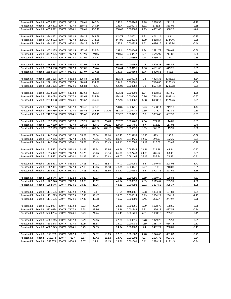|              |         | Reach 8 4059.872 100 YR 5132.8       |               |        | 230.41 | 246.54 |        | 246.6  | 0.000143 | 1.98         | 2588.33 | 221.17  | $-2.19$ |
|--------------|---------|--------------------------------------|---------------|--------|--------|--------|--------|--------|----------|--------------|---------|---------|---------|
| Poesten Kill |         |                                      |               |        |        |        |        |        |          |              |         |         |         |
| Poesten Kill | Reach 8 | 4059.872                             | 200 YR        | 7127.3 | 230.41 | 249.34 |        | 249.4  | 0.000279 | 1.92         | 3713.8  | 563.05  | $-0.65$ |
| Poesten Kill | Reach 8 | 4059.872                             | 500 YR        | 9324.1 | 230.41 | 250.42 |        | 250.49 | 0.000303 | 2.15         | 4332.45 | 588.25  | $-0.6$  |
|              |         |                                      |               |        |        |        |        |        |          |              |         |         |         |
|              |         |                                      | 100 YR        | 5132.8 | 230.25 |        |        | 243.72 | 0.0002   | 1.31         | 4011.14 | 834     | $-0.75$ |
| Poesten Kill |         | Reach 8 3942.972                     |               |        |        | 243.69 |        |        |          |              |         |         |         |
| Poesten Kill |         | Reach 8 3942.972                     | 200 YR        | 7127.3 | 230.25 | 244.96 |        | 244.98 | 0.000238 | 1.39         | 5218.54 | 1124.46 | $-0.55$ |
| Poesten Kill |         | Reach 8 3942.972                     | 500 YR        | 9324.1 | 230.25 | 245.87 |        | 245.9  | 0.000238 | 1.52         | 6286.16 | 1197.94 | $-0.46$ |
|              |         |                                      |               |        |        |        |        |        |          |              |         |         |         |
|              |         |                                      |               |        |        |        |        |        |          |              |         |         |         |
| Poesten Kill |         | Reach 8 3472.125                     | 100 YR 5132.8 |        | 227.99 | 239.54 |        | 239.6  | 0.000504 | 1.84         | 2791.79 | 710.62  | $-0.69$ |
| Poesten Kill |         | Reach 8 3472.125                     | 200 YR        | 7127.3 | 227.99 | 240.6  |        | 240.67 | 0.000442 | 2.01         | 3545.97 | 714.88  | $-0.68$ |
| Poesten Kill |         | Reach 8 3472.125                     | 500 YR        | 9324.1 | 227.99 | 241.72 |        | 241.79 | 0.000392 | 2.14         | 4350.79 | 727.7   | $-0.59$ |
|              |         |                                      |               |        |        |        |        |        |          |              |         |         |         |
|              |         |                                      |               |        |        |        |        |        |          |              |         |         |         |
| Poesten Kill |         | Reach 8 2694.558                     | 100 YR        | 5132.8 | 227.07 | 234.96 |        | 234.99 | 0.000164 | 1.4          | 3729.28 | 633.56  | $-0.74$ |
| Poesten Kill | Reach 8 | 2694.558                             | 200 YR        | 7127.3 | 227.07 | 236.4  |        | 236.44 | 0.000155 | 1.56         | 4651.65 | 649.25  | $-0.69$ |
| Poesten Kill |         | Reach 8 2694.558                     | 500 YR        | 9324.1 | 227.07 | 237.55 |        | 237.6  | 0.000164 | 1.76         | 5400.51 | 653.5   | $-0.62$ |
|              |         |                                      |               |        |        |        |        |        |          |              |         |         |         |
|              |         | Reach 8 2381.125                     | 100 YR 5132.8 |        | 226.84 |        |        | 232.38 |          | 1.2          |         | 1105.92 | $-1.24$ |
| Poesten Kill |         |                                      |               |        |        | 232.36 |        |        | 0.000214 |              | 4308.35 |         |         |
| Poesten Kill |         | Reach 8 2381.125                     | 200 YR 7127.3 |        | 226.84 | 234.89 |        | 234.9  | 0.000081 | $\mathbf{1}$ | 7186.85 | 1173.45 | $-0.68$ |
| Poesten Kill |         | Reach 8 2381.125                     | 500 YR        | 9324.1 | 226.84 | 236    |        | 236.02 | 0.000082 | 1.1          | 8504.34 | 1203.68 | $-0.59$ |
|              |         |                                      |               |        |        |        |        |        |          |              |         |         |         |
| Poesten Kill |         | Reach 8 2233.088                     | 100 YR 5132.8 |        | 213.62 | 232.3  |        | 232.31 | 0.000092 | 1.04         | 5158.53 | 887.59  | $-1.25$ |
|              |         |                                      |               |        |        |        |        |        |          |              |         |         |         |
| Poesten Kill |         | Reach 8 2233.088                     | 200 YR        | 7127.3 | 213.62 | 234.86 |        | 234.87 | 0.000063 | 0.96         | 7718.31 | 1099.48 | $-0.67$ |
| Poesten Kill |         | Reach 8 2233.088                     | 500 YR        | 9324.1 | 213.62 | 235.97 |        | 235.99 | 0.000067 | 1.08         | 8958.12 | 1124.26 | $-0.59$ |
|              |         |                                      |               |        |        |        |        |        |          |              |         |         |         |
| Poesten Kill |         | Reach 8 2107.736                     | 100 YR        | 5132.8 | 213.48 | 228.73 |        | 228.89 | 0.000716 | 3.23         | 1588.14 | 219.17  | $-1.47$ |
|              |         |                                      |               |        |        |        |        |        |          |              |         |         |         |
| Poesten Kill |         | Reach 8 2107.736                     | 200 YR 7127.3 |        | 213.48 | 232.14 | 219.78 | 232.24 | 0.000789 | 2.59         | 2752    | 581.31  | $-0.58$ |
| Poesten Kill | Reach 8 | 2107.736                             | 500 YR        | 9324.1 | 213.48 | 233.11 |        | 233.23 | 0.000755 | 2.8          | 3333.46 | 607.39  | $-0.53$ |
|              |         |                                      |               |        |        |        |        |        |          |              |         |         |         |
| Poesten Kill |         | Reach 8   1917.119                   | 100 YR        | 5132.8 | 199.21 | 206.82 | 204.8  | 207.73 | 0.005269 | 7.64         | 671.78  | 114.07  | $-0.81$ |
| Poesten Kill | Reach 8 | 1917.119                             | 200 YR        | 7127.3 | 199.21 | 208.1  | 205.81 | 209.27 | 0.005486 | 8.7          | 818.82  | 117.03  | $-0.76$ |
|              |         |                                      |               |        |        |        |        |        |          |              |         |         |         |
| Poesten Kill |         | Reach 8   1917.119                   | 500 YR        | 9324.1 | 199.21 | 209.34 | 206.83 | 210.79 | 0.005639 | 9.65         | 966.01  | 119.91  | $-0.68$ |
|              |         |                                      |               |        |        |        |        |        |          |              |         |         |         |
| Poesten Kill |         | Reach 8 1747.116                     | 100 YR 5132.8 |        | 74.28  | 78.64  | 78.64  | 80.47  | 0.019793 | 10.85        | 473.1   | 130.8   | $-0.58$ |
| Poesten Kill |         | Reach 8   1747.116                   | 200 YR 7127.3 |        | 74.28  | 79.55  | 79.55  | 81.79  | 0.018429 | 12.02        | 592.93  | 132.29  | $-0.51$ |
|              |         |                                      |               |        |        |        |        |        |          |              |         |         |         |
|              |         |                                      |               |        |        |        |        |        |          |              |         |         |         |
| Poesten Kill | Reach 8 | 1747.116                             | 500 YR        | 9324.1 | 74.28  | 80.43  | 80.43  | 83.11  | 0.017608 | 13.12        | 710.62  | 133.43  | $-0.48$ |
|              |         |                                      |               |        |        |        |        |        |          |              |         |         |         |
| Poesten Kill |         | Reach 8 1615.422                     | 100 YR 5132.8 |        | 51.25  | 55.54  | 57.96  | 63.66  | 0.096288 | 22.86        | 224.58  | 65.84   | $-0.57$ |
| Poesten Kill |         | Reach 8 1615.422                     | 200 YR        | 7127.3 | 51.25  | 56.46  | 59.34  | 66.08  | 0.087743 | 24.88        | 286.52  | 68.49   | $-0.61$ |
|              |         |                                      |               |        |        |        |        |        |          |              |         |         |         |
| Poesten Kill | Reach 8 | 1615.422                             | 500 YR        | 9324.1 | 51.25  | 57.44  | 60.63  | 68.07  | 0.081467 | 26.15        | 356.54  | 74.45   | $-0.51$ |
|              |         |                                      |               |        |        |        |        |        |          |              |         |         |         |
| Poesten Kill |         | Reach 8   1382.411                   | 100 YR 5132.8 |        | 27.13  | 44.01  | 33.57  | 44.1   | 0.000251 | 2.4          | 2140.44 | 208.05  | $-3.71$ |
| Poesten Kill |         | Reach 8 1382.411                     | 200 YR 7127.3 |        | 27.13  | 48.66  | 34.98  | 48.74  | 0.000148 | 2.27         | 3133    | 218.07  | $-1.7$  |
|              |         |                                      |               |        |        |        |        |        |          |              |         |         |         |
| Poesten Kill |         | Reach 8   1382.411                   | 500 YR 9324.1 |        | 27.13  | 51.32  | 36.66  | 51.41  | 0.000151 | 2.5          | 3723.36 | 227.61  | $-1.16$ |
|              |         |                                      |               |        |        |        |        |        |          |              |         |         |         |
| Poesten Kill |         | Reach 8   1262.946                   | 100 YR 5132.8 |        | 20.83  | 40.13  |        | 40.29  | 0.000296 | 3.19         | 1610.69 | 108.83  | $-4.63$ |
| Poesten Kill | Reach 8 | 1262.946                             | 200 YR        | 7127.3 | 20.83  | 45.62  |        | 45.74  | 0.000339 | 2.83         | 2515.67 | 235.91  | $-1.58$ |
| Poesten Kill |         | Reach 8   1262.946                   | 500 YR 9324.1 |        | 20.83  | 48.06  |        | 48.19  | 0.000392 | 2.92         | 3197.55 | 325.37  | $-1.08$ |
|              |         |                                      |               |        |        |        |        |        |          |              |         |         |         |
|              |         |                                      |               |        |        |        |        |        |          |              |         |         |         |
| Poesten Kill |         | Reach 8   1171.695   100 YR   5132.8 |               |        | 17.36  | 34     |        | 34.2   | 0.00043  | 3.58         | 1433.41 | 104.81  | $-3.69$ |
| Poesten Kill |         | Reach 8   1171.695   200 YR   7127.3 |               |        | 17.36  | 38.47  |        | 38.63  | 0.000514 | 3.19         | 2234.24 | 236.13  | $-1.17$ |
| Poesten Kill |         | Reach 8 1171.695                     | 500 YR 9324.1 |        | 17.36  | 40.38  |        | 40.57  | 0.000501 | 3.46         | 2697.4  | 247.97  | $-0.96$ |
|              |         |                                      |               |        |        |        |        |        |          |              |         |         |         |
| Poesten Kill |         |                                      | 100 YR 5132.8 |        |        |        |        |        |          |              | 1028.76 |         |         |
|              |         | Reach 8 582.0234                     |               |        | 6.23   | 22.79  |        | 23.19  | 0.000956 | 5.09         |         | 188.65  | $-0.68$ |
| Poesten Kill |         | Reach 8 582.0234                     | 200 YR 7127.3 |        | 6.23   | 23.86  |        | 24.46  | 0.001382 | 6.32         | 1376.12 | 477.53  | $-0.54$ |
| Poesten Kill | Reach 8 | 582.0234                             | 500 YR 9324.1 |        | 6.23   | 24.74  |        | 25.49  | 0.001721 | 7.31         | 1900.15 | 765.26  | $-0.45$ |
|              |         |                                      |               |        |        |        |        |        |          |              |         |         |         |
| Poesten Kill |         | Reach 8 468.3845                     | 100 YR 5132.8 |        | 5.29   | 22.66  |        | 22.88  | 0.000515 | 3.78         | 1379.25 | 195.53  | $-0.65$ |
| Poesten Kill |         |                                      | 200 YR 7127.3 |        | 5.29   | 23.68  |        | 24.02  | 0.000731 | 4.69         |         | 664.72  | $-0.52$ |
|              |         | Reach 8 468.3845                     |               |        |        |        |        |        |          |              | 1888.37 |         |         |
| Poesten Kill | Reach 8 | 468.3845 500 YR 9324.1               |               |        | 5.29   | 24.53  |        | 24.94  | 0.000902 | 5.4          | 2492.22 | 758.81  | $-0.41$ |
|              |         |                                      |               |        |        |        |        |        |          |              |         |         |         |
| Poesten Kill | Reach 8 | 363.373                              | 100 YR        | 5207.3 | 3.57   | 22.32  | 13.63  | 22.63  | 0.001002 | 4.78         | 1746.63 | 801.82  | $-0.71$ |
| Poesten Kill | Reach 8 | 363.373                              | 200 YR        | 7227   | 3.57   | 23.42  | 15.52  | 23.71  | 0.001002 | 4.97         | 2696.72 | 923.35  | $-0.54$ |
| Poesten Kill | Reach 8 | 363.373                              | 500 YR 9450.5 |        | 3.57   | 24.3   | 17.15  | 24.56  | 0.001001 | 5.12         | 3588.22 | 1164.45 | $-0.44$ |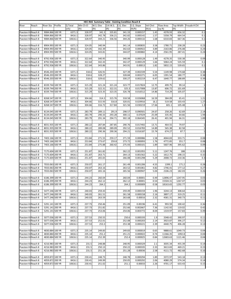| HEC-RAS Summary Table - Existing Condition Reach 8 |       |                                    |         |                   |                   |                   |                     |                   |                      |                |                     |                   |                             |
|----------------------------------------------------|-------|------------------------------------|---------|-------------------|-------------------|-------------------|---------------------|-------------------|----------------------|----------------|---------------------|-------------------|-----------------------------|
| River                                              | Reach | River Sta                          | Profile | Q Total           | Min Ch El         | W.S. Elev         | Crit W.S. E.G. Elev |                   | E.G. Slope           | Vel Chnl       | Flow Area           |                   | Top Width Froude # Chl      |
|                                                    |       |                                    |         | (cfs)             | (f <sup>t</sup> ) | (f <sub>t</sub> ) | (f <sub>t</sub> )   | (f <sub>t</sub> ) | (ft/ft)              | $({\rm ft/s})$ | (sq ft)             | (f <sub>t</sub> ) |                             |
| Poesten KilReach 8                                 |       | 9084.866 100 YR                    |         | 6371.3            | 328.97            | 341.3             | 335.81              | 341.33            | 0.000157             | 1.45           | 4378.93             | 656.32            | 0.1                         |
| Poesten KilReach 8                                 |       | 9084.866 200 YR                    |         | 8416.1            | 328.97            | 342.78            | 336.21              | 342.82            | 0.000142             | 1.57           | 5358.79             | 664.54            | 0.1                         |
| Poesten KilReach 8                                 |       | 9084.866 500 YR                    |         | 10616.1           | 328.97            | 344.21            | 336.56              | 344.26            | 0.000132             | 1.68           | 6310.83             | 667.36            | 0.1                         |
| Poesten KilReach 8                                 |       | 8904.993 100 YR                    |         | 6371.3            | 324.05            | 340.94            |                     | 341.14            | 0.000835             | 3.58           | 1780.71             | 238.28            | 0.23                        |
| Poesten KilReach 8                                 |       | 8904.993 200 YR                    |         | 8416.1            | 324.05            | 342.39            |                     | 342.63            | 0.000922             | 3.89           | 2163.86             | 276.08            | 0.24                        |
| Poesten KilReach 8                                 |       | 8904.993 500 YR                    |         | 10616.1           | 324.05            | 343.81            |                     | 344.07            | 0.000882             | 4.14           | 2561.95             | 287.41            | 0.24                        |
|                                                    |       |                                    |         |                   |                   |                   |                     |                   |                      |                |                     |                   |                             |
| Poesten KilReach 8                                 |       | 8792.936 100 YR                    |         | 6371.3            | 322.64            | 340.95            |                     | 340.99            | 0.000128             | 1.49           | 4278.35             | 530.38            | 0.09                        |
| Poesten KilReach 8                                 |       | 8792.936 200 YR                    |         | 8416.1            | 322.64            | 342.43            |                     | 342.47            | 0.000129             | 1.66           | 5064.24             | 535.59            | 0.1                         |
| Poesten KilReach 8                                 |       | 8792.936 500 YR                    |         | 10616.1           | 322.64            | 343.86            |                     | 343.91            | 0.00013              | 1.82           | 5832.15             | 539.65            | 0.1                         |
|                                                    |       |                                    |         |                   |                   |                   |                     |                   |                      |                |                     |                   |                             |
| Poesten KilReach 8                                 |       | 8546.203 100 YR                    |         | 6371.3            | 318.6             | 326.91            |                     | 327.39            | 0.002339             | 5.54           | 1149.98             | 174.68            | 0.38                        |
| Poesten KilReach 8                                 |       | 8546.203 200 YR                    |         | 8416.1            | 318.6             | 328.27            |                     | 328.84            | 0.002271             | 6.05           | 1391.54             | 180.77            | 0.38                        |
| Poesten KilReach 8                                 |       | 8546.203 500 YR                    |         | 10616.1           | 318.6             | 329.62            |                     | 330.27            | 0.002219             | 6.47           | 1640.77             | 188.89            | 0.39                        |
|                                                    |       |                                    |         |                   |                   |                   |                     |                   |                      |                |                     |                   |                             |
| Poesten KilReach 8                                 |       | 8339.744 100 YR                    |         | 6371.3            | 315.29            | 321.24            | 321.24              | 323.77            | 0.017824             | 12.75          | 499.75              | 99.14             | $\mathbf 1$                 |
| Poesten KilReach 8                                 |       | 8339.744 200 YR<br>8339.744 500 YR |         | 8416.1<br>10616.1 | 315.29<br>315.29  | 322.31<br>323.35  | 322.31<br>323.35    | 325.3<br>326.78   | 0.017008             | 13.87<br>14.86 | 606.72<br>714.29    | 101.69<br>105.07  | $\mathbf 1$<br>$\mathbf{1}$ |
| Poesten KilReach 8                                 |       |                                    |         |                   |                   |                   |                     |                   | 0.016512             |                |                     |                   |                             |
| Poesten KilReach 8                                 |       | 8268.547 100 YR                    |         | 6371.3            | 304.66            | 314.3             | 315.76              | 318.58            | 0.026068             | 16.59          | 384.09              | 65.41             | 1.21                        |
| Poesten KilReach 8                                 |       | 8268.547 200 YR                    |         | 8416.1            | 304.66            | 315.93            | 316.8               | 320.01            | 0.029916             | 16.2           | 519.58              | 103.43            | 1.27                        |
| Poesten KilReach 8                                 |       | 8268.547 500 YR                    |         | 10616.1           | 304.66            | 316.72            | 317.84              | 321.56            | 0.030219             | 17.66          | 601.1               | 105.48            | 1.3                         |
|                                                    |       |                                    |         |                   |                   |                   |                     |                   |                      |                |                     |                   |                             |
| Poesten KilReach 8                                 |       | 8134.045 100 YR                    |         | 6371.3            | 283.79            | 289.11            | 291.9               | 298.57            | 0.090501             | 24.67          | 258.26              | 62.69             | 2.14                        |
| Poesten KilReach 8                                 |       | 8134.045 200 YR                    |         | 8416.1            | 283.79            | 290.33            | 293.28              | 300.11            | 0.07029              | 25.09          | 335.45              | 64.66             | 1.94                        |
| Poesten KilReach 8                                 |       | 8134.045 500 YR                    |         | 10616.1           | 283.79            | 291.34            | 294.71              | 302.18            | 0.064345             | 26.41          | 401.94              | 66.31             | 1.89                        |
|                                                    |       |                                    |         |                   |                   |                   |                     |                   |                      |                |                     |                   |                             |
| Poesten KilReach 8                                 |       | 8031.935 100 YR                    |         | 6371.3            | 280.22            | 287.84            | 287.85              | 290.76            | 0.017492             | 13.71          | 464.55              | 79.97             | $\mathbf 1$                 |
| Poesten KilReach 8                                 |       | 8031.935 200 YR                    |         | 8416.1            | 280.22            | 289.08            | 289.09              | 292.52            | 0.016783             | 14.89          | 565.38              | 82.58             | $\mathbf{1}$                |
| Poesten KilReach 8                                 |       | 8031.935 500 YR                    |         | 10616.1           | 280.22            | 290.36            | 290.36              | 294.21            | 0.016187             | 15.74          | 674.27              | 87.7              | $\overline{1}$              |
|                                                    |       |                                    |         |                   |                   |                   |                     |                   |                      |                |                     |                   |                             |
| Poesten KilReach 8                                 |       | 7403.166 100 YR<br>7403.166 200 YR |         | 6371.3<br>8416.1  | 253.84            | 271.55            | 259.17              | 271.59            | 0.000086<br>0.000093 | 1.58           | 4044.83<br>4772.85  | 333.71<br>351.7   | 0.08                        |
| Poesten KilReach 8<br>Poesten KilReach 8           |       | 7403.166 500 YR                    |         | 10616.1           | 253.84<br>253.84  | 273.67<br>275.88  | 259.8<br>260.42     | 273.72<br>275.93  | 0.000101             | 1.76<br>1.89   | 5607.96             | 395.62            | 0.08<br>0.09                |
|                                                    |       |                                    |         |                   |                   |                   |                     |                   |                      |                |                     |                   |                             |
| Poesten KilReach 8                                 |       | 7175.604 100 YR                    |         | 6371.3            | 251.87            | 261.82            |                     | 262.22            | 0.001955             | 5.11           | 1247.76             | 188               | 0.35                        |
| Poesten KilReach 8                                 |       | 7175.604 200 YR                    |         | 8416.1            | 251.87            | 263.71            |                     | 264.13            | 0.001562             | 5.22           | 1612.75             | 198.15            | 0.32                        |
| Poesten KilReach 8                                 |       | 7175.604 500 YR                    |         | 10616.1           | 251.87            | 265.65            |                     | 266.08            | 0.001298             | 5.29           | 2008.72             | 210.36            | 0.3                         |
|                                                    |       |                                    |         |                   |                   |                   |                     |                   |                      |                |                     |                   |                             |
| Poesten KilReach 8                                 |       | 7033.063 100 YR                    |         | 6371.3            | 250.07            | 261.17            |                     | 261.49            | 0.001206             | 4.55           | 1399.1              | 171.2             | 0.28                        |
| Poesten KilReach 8                                 |       | 7033.063 200 YR                    |         | 8416.1            | 250.07            | 263.16            |                     | 263.52            | 0.001061             | 4.82           | 1746.41             | 177.12            | 0.27                        |
| Poesten KilReach 8                                 |       | 7033.063 500 YR                    |         | 10616.1           | 250.07            | 265.16            |                     | 265.56            | 0.000947             | 5.04           | 2106.23             | 182.03            | 0.26                        |
|                                                    |       |                                    |         |                   |                   |                   |                     |                   |                      |                |                     |                   |                             |
| Poesten KilReach 8                                 |       | 6186.399 100 YR                    |         | 6371.3            | 244.23            | 260.04            |                     | 260.04            | 0.00001              | 0.49           | 12896.47            | 1247.95           | 0.03                        |
| Poesten KilReach 8                                 |       | 6186.399 200 YR                    |         | 8416.1            | 244.23            | 262.12            |                     | 262.12            | 0.00001              | 0.54           | 15504.31            | 1267.07           | 0.03                        |
| Poesten KilReach 8                                 |       | 6186.399 500 YR                    |         | 10616.1           | 244.23            | 264.2             |                     | 264.2             | 0.000009             | 0.58           | 18163.65            | 1292.77           | 0.03                        |
| Poesten Kil Reach 8                                |       | 5477.246 100 YR                    |         | 6371.3            | 240.03            | 259.43            |                     | 259.49            | 0.000159             | 1.96           | 3244.13             | 308.64            | 0.11                        |
| Poesten Kil Reach 8                                |       | 5477.246 200 YR                    |         | 8416.1            | 240.03            | 261.51            |                     | 261.58            | 0.000158             | 2.16           | 3897.17             | 319.25            | 0.11                        |
| Poesten KilReach 8                                 |       | 5477.246 500 YR                    |         | 10616.1           | 240.03            | 263.59            |                     | 263.68            | 0.00016              | 2.32           | 4581.31             | 340.73            | 0.11                        |
|                                                    |       |                                    |         |                   |                   |                   |                     |                   |                      |                |                     |                   |                             |
| Poesten KilReach 8                                 |       | 5291.141 100 YR                    |         | 6371.3            | 237.73            | 250.46            |                     | 251.09            | 0.00196              | 6.41           | 993.59              | 100.42            | 0.36                        |
| Poesten KilReach 8                                 |       | 5291.141 200 YR                    |         | 8416.1            | 237.73            | 251.82            |                     | 252.66            | 0.002667             | 7.36           | 1142.92             | 119.02            | 0.42                        |
| Poesten Kil Reach 8                                |       | 5291.141 500 YR                    |         | 10616.1           | 237.73            | 253.06            |                     | 254.06            | 0.003772             | 8.04           | 1319.97             | 157.83            | 0.49                        |
|                                                    |       |                                    |         |                   |                   |                   |                     |                   |                      |                |                     |                   |                             |
| Poesten KilReach 8                                 |       | 5077.036 100 YR                    |         | 6371.3            | 237.53            | 250.55            |                     | 250.6             | 0.000193             | 1.9            | 3348.42             | 390.97            | 0.11                        |
| Poesten KilReach 8                                 |       | 5077.036 200 YR                    |         | 8416.1            | 237.53            | 252.01            |                     | 252.08            | 0.000203             | 2.14           | 3923.87             | 396.27            | 0.12                        |
| Poesten Kil Reach 8                                |       | 5077.036 500 YR                    |         | 10616.1           | 237.53            | 253.3             |                     | 253.38            | 0.000221             | 2.39           | 4440.75             | 406.28            | 0.13                        |
|                                                    |       |                                    |         |                   |                   |                   |                     |                   |                      |                |                     |                   |                             |
| Poesten KilReach 8                                 |       | 4830.884 100 YR                    |         | 6371.3            | 235.14            | 249.83            |                     | 249.83            | 0.000019             | 0.65           | 9888.61<br>11366.35 | 1049.73           | 0.04                        |
| Poesten KilReach 8<br>Poesten KilReach 8           |       | 4830.884 200 YR<br>4830.884 500 YR |         | 8416.1<br>10616.1 | 235.14<br>235.14  | 251.2<br>252.39   |                     | 251.21<br>252.4   | 0.000022<br>0.000025 | 0.74<br>0.84   | 12683.63            | 1092.8<br>1121.46 | 0.04<br>0.04                |
|                                                    |       |                                    |         |                   |                   |                   |                     |                   |                      |                |                     |                   |                             |
| Poesten KilReach 8                                 |       | 4216.983 100 YR                    |         | 6371.3            | 231.5             | 248.88            |                     | 248.95            | 0.000329             | 2.1            | 3035.34             | 455.39            | 0.14                        |
| Poesten KilReach 8                                 |       | 4216.983 200 YR                    |         | 8416.1            | 231.5             | 250.13            |                     | 250.22            | 0.000335             | 2.33           | 3613.83             | 469.21            | 0.15                        |
| Poesten KilReach 8                                 |       | 4216.983 500 YR                    |         | 10616.1           | 231.5             | 251.18            |                     | 251.28            | 0.00036              | 2.58           | 4111.72             | 482.68            | 0.16                        |
|                                                    |       |                                    |         |                   |                   |                   |                     |                   |                      |                |                     |                   |                             |
| Poesten KilReach 8                                 |       | 4059.872 100 YR                    |         | 6371.3            | 230.41            | 248.73            |                     | 248.78            | 0.000294             | 1.89           | 3372.97             | 543.18            | 0.13                        |
| Poesten KilReach 8                                 |       | 4059.872 200 YR                    |         | 8416.1            | 230.41            | 249.99            |                     | 250.05            | 0.000292             | 2.06           | 4080.29             | 574.34            | 0.14                        |
| Poesten KilReach 8                                 |       | 4059.872 500 YR                    |         | 10616.1           | 230.41            | 251.02            |                     | 251.1             | 0.00033              | 2.26           | 4701.17             | 633.43            | 0.15                        |
|                                                    |       |                                    |         |                   |                   |                   |                     |                   |                      |                |                     |                   |                             |